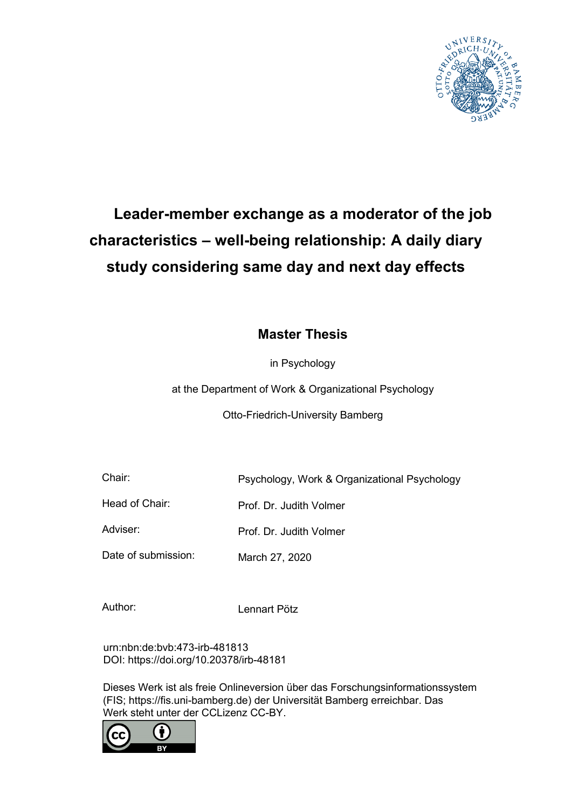

# **Leader-member exchange as a moderator of the job characteristics – well-being relationship: A daily diary study considering same day and next day effects**

# **Master Thesis**

in Psychology

at the Department of Work & Organizational Psychology

Otto-Friedrich-University Bamberg

Chair: Psychology, Work & Organizational Psychology

Head of Chair: Prof. Dr. Judith Volmer

Adviser: Prof. Dr. Judith Volmer

Date of submission: March 27, 2020

Author: Lennart Pötz

urn:nbn:de:bvb:473-irb-481813 DOI: https://doi.org/10.20378/irb-48181

Dieses Werk ist als freie Onlineversion über das Forschungsinformationssystem (FIS; https://fis.uni-bamberg.de) der Universität Bamberg erreichbar. Das Werk steht unter der CCLizenz CC-BY.

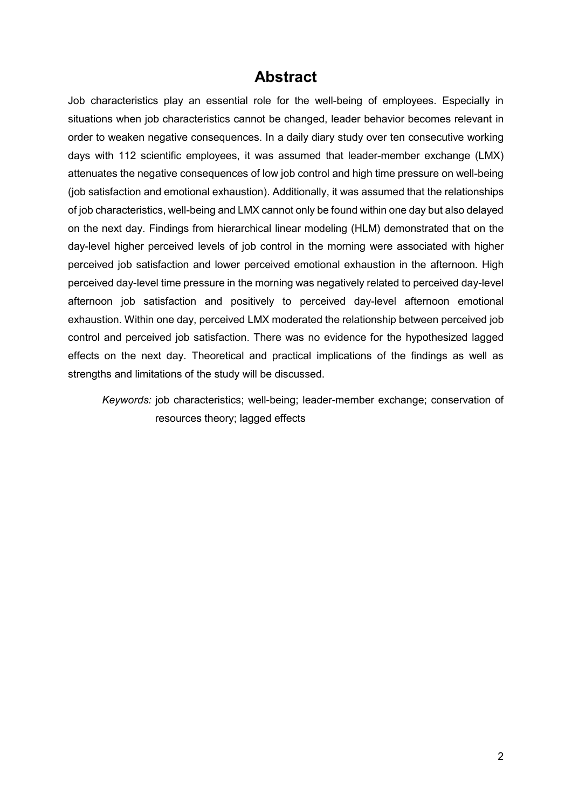# **Abstract**

Job characteristics play an essential role for the well-being of employees. Especially in situations when job characteristics cannot be changed, leader behavior becomes relevant in order to weaken negative consequences. In a daily diary study over ten consecutive working days with 112 scientific employees, it was assumed that leader-member exchange (LMX) attenuates the negative consequences of low job control and high time pressure on well-being (job satisfaction and emotional exhaustion). Additionally, it was assumed that the relationships of job characteristics, well-being and LMX cannot only be found within one day but also delayed on the next day. Findings from hierarchical linear modeling (HLM) demonstrated that on the day-level higher perceived levels of job control in the morning were associated with higher perceived job satisfaction and lower perceived emotional exhaustion in the afternoon. High perceived day-level time pressure in the morning was negatively related to perceived day-level afternoon job satisfaction and positively to perceived day-level afternoon emotional exhaustion. Within one day, perceived LMX moderated the relationship between perceived job control and perceived job satisfaction. There was no evidence for the hypothesized lagged effects on the next day. Theoretical and practical implications of the findings as well as strengths and limitations of the study will be discussed.

*Keywords:* job characteristics; well-being; leader-member exchange; conservation of resources theory; lagged effects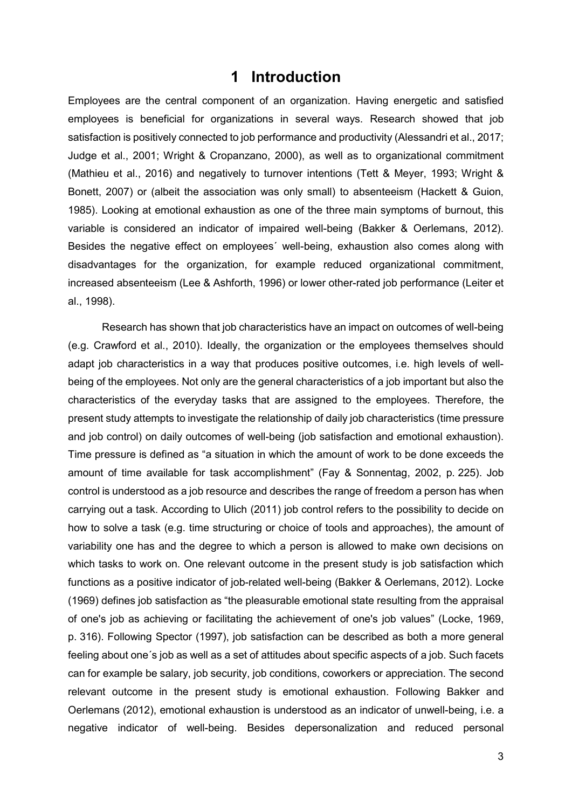# **1 Introduction**

Employees are the central component of an organization. Having energetic and satisfied employees is beneficial for organizations in several ways. Research showed that job satisfaction is positively connected to job performance and productivity (Alessandri et al., 2017; Judge et al., 2001; Wright & Cropanzano, 2000), as well as to organizational commitment (Mathieu et al., 2016) and negatively to turnover intentions (Tett & Meyer, 1993; Wright & Bonett, 2007) or (albeit the association was only small) to absenteeism (Hackett & Guion, 1985). Looking at emotional exhaustion as one of the three main symptoms of burnout, this variable is considered an indicator of impaired well-being (Bakker & Oerlemans, 2012). Besides the negative effect on employees´ well-being, exhaustion also comes along with disadvantages for the organization, for example reduced organizational commitment, increased absenteeism (Lee & Ashforth, 1996) or lower other-rated job performance (Leiter et al., 1998).

Research has shown that job characteristics have an impact on outcomes of well-being (e.g. Crawford et al., 2010). Ideally, the organization or the employees themselves should adapt job characteristics in a way that produces positive outcomes, i.e. high levels of wellbeing of the employees. Not only are the general characteristics of a job important but also the characteristics of the everyday tasks that are assigned to the employees. Therefore, the present study attempts to investigate the relationship of daily job characteristics (time pressure and job control) on daily outcomes of well-being (job satisfaction and emotional exhaustion). Time pressure is defined as "a situation in which the amount of work to be done exceeds the amount of time available for task accomplishment" (Fay & Sonnentag, 2002, p. 225). Job control is understood as a job resource and describes the range of freedom a person has when carrying out a task. According to Ulich (2011) job control refers to the possibility to decide on how to solve a task (e.g. time structuring or choice of tools and approaches), the amount of variability one has and the degree to which a person is allowed to make own decisions on which tasks to work on. One relevant outcome in the present study is job satisfaction which functions as a positive indicator of job-related well-being (Bakker & Oerlemans, 2012). Locke (1969) defines job satisfaction as "the pleasurable emotional state resulting from the appraisal of one's job as achieving or facilitating the achievement of one's job values" (Locke, 1969, p. 316). Following Spector (1997), job satisfaction can be described as both a more general feeling about one´s job as well as a set of attitudes about specific aspects of a job. Such facets can for example be salary, job security, job conditions, coworkers or appreciation. The second relevant outcome in the present study is emotional exhaustion. Following Bakker and Oerlemans (2012), emotional exhaustion is understood as an indicator of unwell-being, i.e. a negative indicator of well-being. Besides depersonalization and reduced personal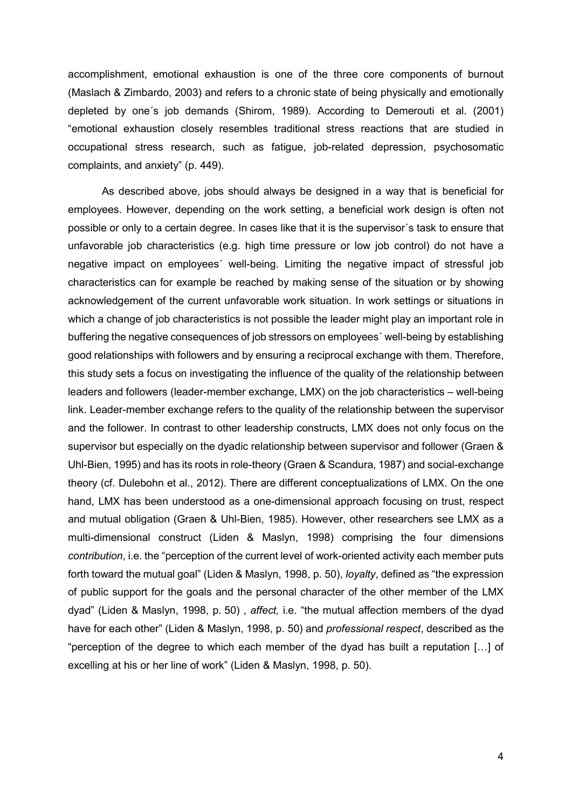accomplishment, emotional exhaustion is one of the three core components of burnout (Maslach & Zimbardo, 2003) and refers to a chronic state of being physically and emotionally depleted by one´s job demands (Shirom, 1989). According to Demerouti et al. (2001) "emotional exhaustion closely resembles traditional stress reactions that are studied in occupational stress research, such as fatigue, job-related depression, psychosomatic complaints, and anxiety" (p. 449).

As described above, jobs should always be designed in a way that is beneficial for employees. However, depending on the work setting, a beneficial work design is often not possible or only to a certain degree. In cases like that it is the supervisor´s task to ensure that unfavorable job characteristics (e.g. high time pressure or low job control) do not have a negative impact on employees´ well-being. Limiting the negative impact of stressful job characteristics can for example be reached by making sense of the situation or by showing acknowledgement of the current unfavorable work situation. In work settings or situations in which a change of job characteristics is not possible the leader might play an important role in buffering the negative consequences of job stressors on employees´ well-being by establishing good relationships with followers and by ensuring a reciprocal exchange with them. Therefore, this study sets a focus on investigating the influence of the quality of the relationship between leaders and followers (leader-member exchange, LMX) on the job characteristics – well-being link. Leader-member exchange refers to the quality of the relationship between the supervisor and the follower. In contrast to other leadership constructs, LMX does not only focus on the supervisor but especially on the dyadic relationship between supervisor and follower (Graen & Uhl-Bien, 1995) and has its roots in role-theory (Graen & Scandura, 1987) and social-exchange theory (cf. Dulebohn et al., 2012). There are different conceptualizations of LMX. On the one hand, LMX has been understood as a one-dimensional approach focusing on trust, respect and mutual obligation (Graen & Uhl-Bien, 1985). However, other researchers see LMX as a multi-dimensional construct (Liden & Maslyn, 1998) comprising the four dimensions *contribution*, i.e. the "perception of the current level of work-oriented activity each member puts forth toward the mutual goal" (Liden & Maslyn, 1998, p. 50), *loyalty*, defined as "the expression of public support for the goals and the personal character of the other member of the LMX dyad" (Liden & Maslyn, 1998, p. 50) , *affect,* i.e. "the mutual affection members of the dyad have for each other" (Liden & Maslyn, 1998, p. 50) and *professional respect*, described as the "perception of the degree to which each member of the dyad has built a reputation […] of excelling at his or her line of work" (Liden & Maslyn, 1998, p. 50).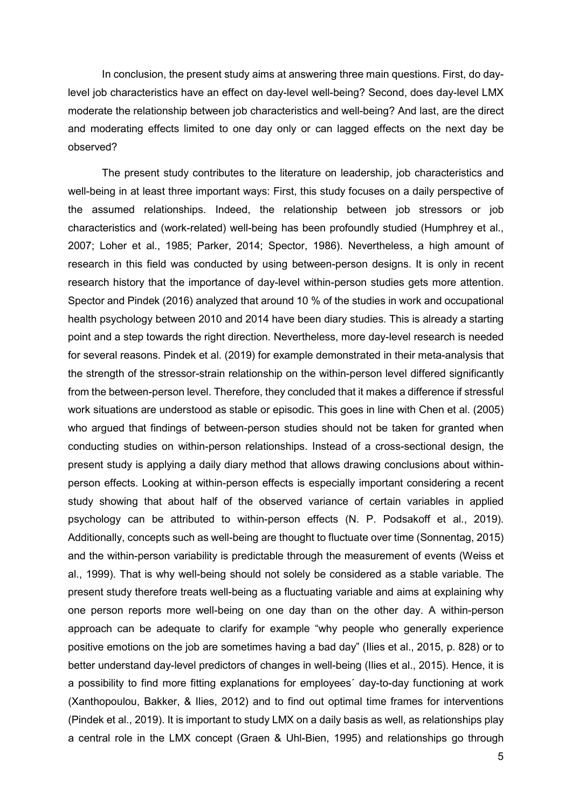In conclusion, the present study aims at answering three main questions. First, do daylevel job characteristics have an effect on day-level well-being? Second, does day-level LMX moderate the relationship between job characteristics and well-being? And last, are the direct and moderating effects limited to one day only or can lagged effects on the next day be observed?

The present study contributes to the literature on leadership, job characteristics and well-being in at least three important ways: First, this study focuses on a daily perspective of the assumed relationships. Indeed, the relationship between job stressors or job characteristics and (work-related) well-being has been profoundly studied (Humphrey et al., 2007; Loher et al., 1985; Parker, 2014; Spector, 1986). Nevertheless, a high amount of research in this field was conducted by using between-person designs. It is only in recent research history that the importance of day-level within-person studies gets more attention. Spector and Pindek (2016) analyzed that around 10 % of the studies in work and occupational health psychology between 2010 and 2014 have been diary studies. This is already a starting point and a step towards the right direction. Nevertheless, more day-level research is needed for several reasons. Pindek et al. (2019) for example demonstrated in their meta-analysis that the strength of the stressor-strain relationship on the within-person level differed significantly from the between-person level. Therefore, they concluded that it makes a difference if stressful work situations are understood as stable or episodic. This goes in line with Chen et al. (2005) who argued that findings of between-person studies should not be taken for granted when conducting studies on within-person relationships. Instead of a cross-sectional design, the present study is applying a daily diary method that allows drawing conclusions about withinperson effects. Looking at within-person effects is especially important considering a recent study showing that about half of the observed variance of certain variables in applied psychology can be attributed to within-person effects (N. P. Podsakoff et al., 2019). Additionally, concepts such as well-being are thought to fluctuate over time (Sonnentag, 2015) and the within-person variability is predictable through the measurement of events (Weiss et al., 1999). That is why well-being should not solely be considered as a stable variable. The present study therefore treats well-being as a fluctuating variable and aims at explaining why one person reports more well-being on one day than on the other day. A within-person approach can be adequate to clarify for example "why people who generally experience positive emotions on the job are sometimes having a bad day" (Ilies et al., 2015, p. 828) or to better understand day-level predictors of changes in well-being (Ilies et al., 2015). Hence, it is a possibility to find more fitting explanations for employees´ day-to-day functioning at work (Xanthopoulou, Bakker, & Ilies, 2012) and to find out optimal time frames for interventions (Pindek et al., 2019). It is important to study LMX on a daily basis as well, as relationships play a central role in the LMX concept (Graen & Uhl-Bien, 1995) and relationships go through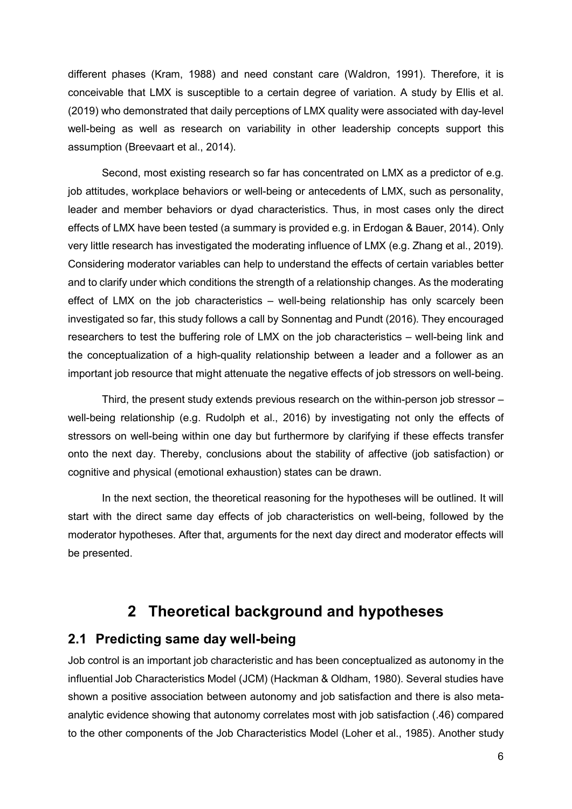different phases (Kram, 1988) and need constant care (Waldron, 1991). Therefore, it is conceivable that LMX is susceptible to a certain degree of variation. A study by Ellis et al. (2019) who demonstrated that daily perceptions of LMX quality were associated with day-level well-being as well as research on variability in other leadership concepts support this assumption (Breevaart et al., 2014).

Second, most existing research so far has concentrated on LMX as a predictor of e.g. job attitudes, workplace behaviors or well-being or antecedents of LMX, such as personality, leader and member behaviors or dyad characteristics. Thus, in most cases only the direct effects of LMX have been tested (a summary is provided e.g. in Erdogan & Bauer, 2014). Only very little research has investigated the moderating influence of LMX (e.g. Zhang et al., 2019). Considering moderator variables can help to understand the effects of certain variables better and to clarify under which conditions the strength of a relationship changes. As the moderating effect of LMX on the job characteristics – well-being relationship has only scarcely been investigated so far, this study follows a call by Sonnentag and Pundt (2016). They encouraged researchers to test the buffering role of LMX on the job characteristics – well-being link and the conceptualization of a high-quality relationship between a leader and a follower as an important job resource that might attenuate the negative effects of job stressors on well-being.

Third, the present study extends previous research on the within-person job stressor – well-being relationship (e.g. Rudolph et al., 2016) by investigating not only the effects of stressors on well-being within one day but furthermore by clarifying if these effects transfer onto the next day. Thereby, conclusions about the stability of affective (job satisfaction) or cognitive and physical (emotional exhaustion) states can be drawn.

In the next section, the theoretical reasoning for the hypotheses will be outlined. It will start with the direct same day effects of job characteristics on well-being, followed by the moderator hypotheses. After that, arguments for the next day direct and moderator effects will be presented.

# **2 Theoretical background and hypotheses**

### **2.1 Predicting same day well-being**

Job control is an important job characteristic and has been conceptualized as autonomy in the influential Job Characteristics Model (JCM) (Hackman & Oldham, 1980). Several studies have shown a positive association between autonomy and job satisfaction and there is also metaanalytic evidence showing that autonomy correlates most with job satisfaction (.46) compared to the other components of the Job Characteristics Model (Loher et al., 1985). Another study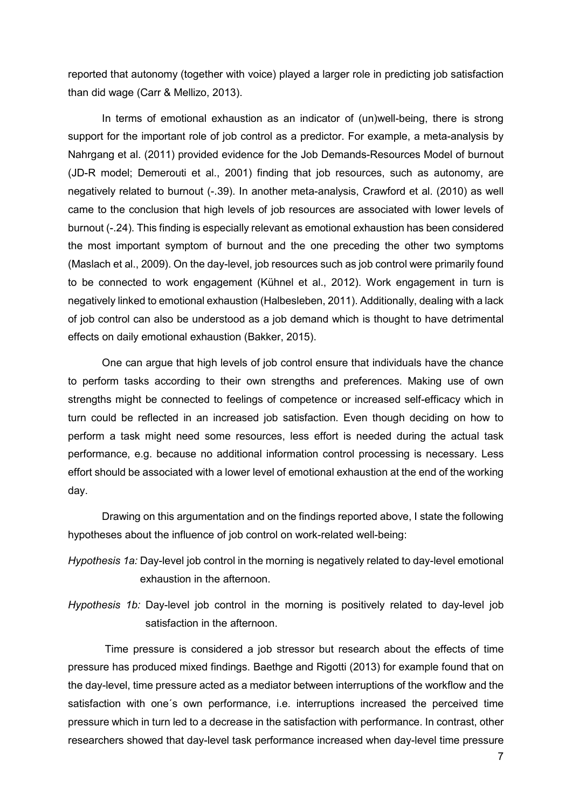reported that autonomy (together with voice) played a larger role in predicting job satisfaction than did wage (Carr & Mellizo, 2013).

In terms of emotional exhaustion as an indicator of (un)well-being, there is strong support for the important role of job control as a predictor. For example, a meta-analysis by Nahrgang et al. (2011) provided evidence for the Job Demands-Resources Model of burnout (JD-R model; Demerouti et al., 2001) finding that job resources, such as autonomy, are negatively related to burnout (-.39). In another meta-analysis, Crawford et al. (2010) as well came to the conclusion that high levels of job resources are associated with lower levels of burnout (-.24). This finding is especially relevant as emotional exhaustion has been considered the most important symptom of burnout and the one preceding the other two symptoms (Maslach et al., 2009). On the day-level, job resources such as job control were primarily found to be connected to work engagement (Kühnel et al., 2012). Work engagement in turn is negatively linked to emotional exhaustion (Halbesleben, 2011). Additionally, dealing with a lack of job control can also be understood as a job demand which is thought to have detrimental effects on daily emotional exhaustion (Bakker, 2015).

One can argue that high levels of job control ensure that individuals have the chance to perform tasks according to their own strengths and preferences. Making use of own strengths might be connected to feelings of competence or increased self-efficacy which in turn could be reflected in an increased job satisfaction. Even though deciding on how to perform a task might need some resources, less effort is needed during the actual task performance, e.g. because no additional information control processing is necessary. Less effort should be associated with a lower level of emotional exhaustion at the end of the working day.

Drawing on this argumentation and on the findings reported above, I state the following hypotheses about the influence of job control on work-related well-being:

*Hypothesis 1a:* Day-level job control in the morning is negatively related to day-level emotional exhaustion in the afternoon.

*Hypothesis 1b:* Day-level job control in the morning is positively related to day-level job satisfaction in the afternoon.

Time pressure is considered a job stressor but research about the effects of time pressure has produced mixed findings. Baethge and Rigotti (2013) for example found that on the day-level, time pressure acted as a mediator between interruptions of the workflow and the satisfaction with one´s own performance, i.e. interruptions increased the perceived time pressure which in turn led to a decrease in the satisfaction with performance. In contrast, other researchers showed that day-level task performance increased when day-level time pressure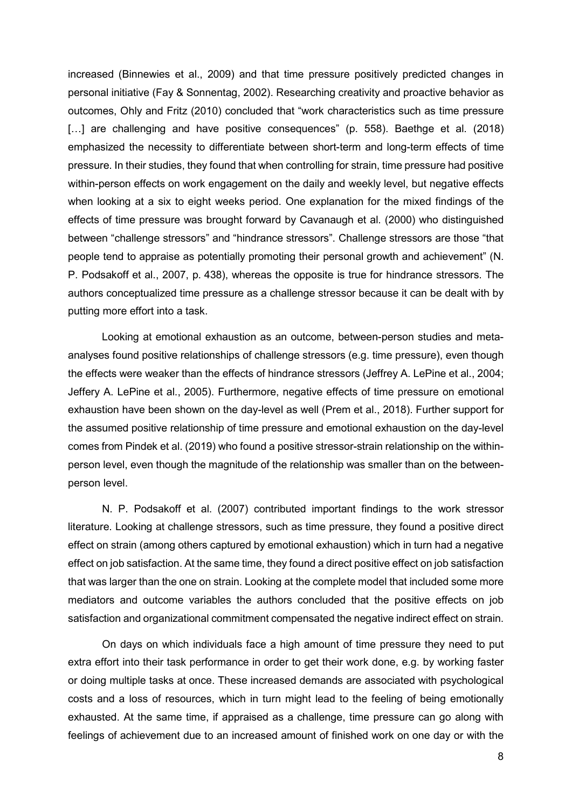increased (Binnewies et al., 2009) and that time pressure positively predicted changes in personal initiative (Fay & Sonnentag, 2002). Researching creativity and proactive behavior as outcomes, Ohly and Fritz (2010) concluded that "work characteristics such as time pressure [...] are challenging and have positive consequences" (p. 558). Baethge et al. (2018) emphasized the necessity to differentiate between short-term and long-term effects of time pressure. In their studies, they found that when controlling for strain, time pressure had positive within-person effects on work engagement on the daily and weekly level, but negative effects when looking at a six to eight weeks period. One explanation for the mixed findings of the effects of time pressure was brought forward by Cavanaugh et al. (2000) who distinguished between "challenge stressors" and "hindrance stressors". Challenge stressors are those "that people tend to appraise as potentially promoting their personal growth and achievement" (N. P. Podsakoff et al., 2007, p. 438), whereas the opposite is true for hindrance stressors. The authors conceptualized time pressure as a challenge stressor because it can be dealt with by putting more effort into a task.

Looking at emotional exhaustion as an outcome, between-person studies and metaanalyses found positive relationships of challenge stressors (e.g. time pressure), even though the effects were weaker than the effects of hindrance stressors (Jeffrey A. LePine et al., 2004; Jeffery A. LePine et al., 2005). Furthermore, negative effects of time pressure on emotional exhaustion have been shown on the day-level as well (Prem et al., 2018). Further support for the assumed positive relationship of time pressure and emotional exhaustion on the day-level comes from Pindek et al. (2019) who found a positive stressor-strain relationship on the withinperson level, even though the magnitude of the relationship was smaller than on the betweenperson level.

N. P. Podsakoff et al. (2007) contributed important findings to the work stressor literature. Looking at challenge stressors, such as time pressure, they found a positive direct effect on strain (among others captured by emotional exhaustion) which in turn had a negative effect on job satisfaction. At the same time, they found a direct positive effect on job satisfaction that was larger than the one on strain. Looking at the complete model that included some more mediators and outcome variables the authors concluded that the positive effects on job satisfaction and organizational commitment compensated the negative indirect effect on strain.

On days on which individuals face a high amount of time pressure they need to put extra effort into their task performance in order to get their work done, e.g. by working faster or doing multiple tasks at once. These increased demands are associated with psychological costs and a loss of resources, which in turn might lead to the feeling of being emotionally exhausted. At the same time, if appraised as a challenge, time pressure can go along with feelings of achievement due to an increased amount of finished work on one day or with the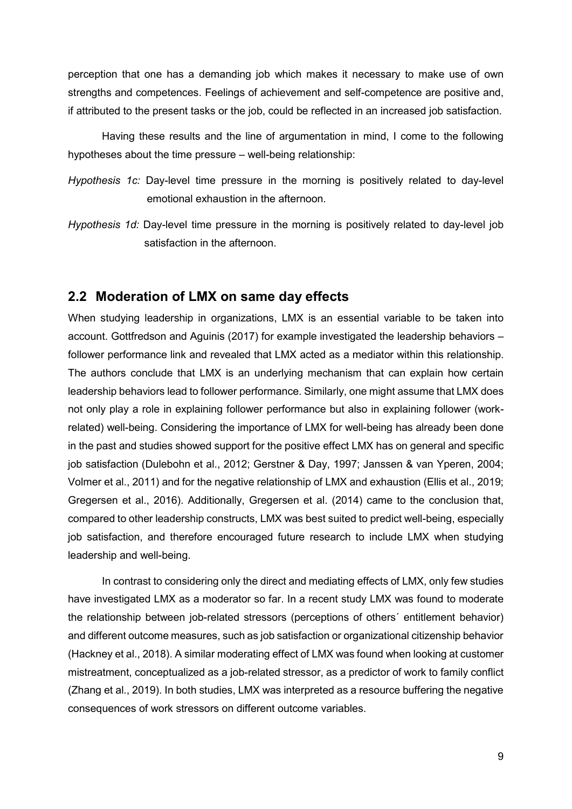perception that one has a demanding job which makes it necessary to make use of own strengths and competences. Feelings of achievement and self-competence are positive and, if attributed to the present tasks or the job, could be reflected in an increased job satisfaction.

Having these results and the line of argumentation in mind, I come to the following hypotheses about the time pressure – well-being relationship:

- *Hypothesis 1c:* Day-level time pressure in the morning is positively related to day-level emotional exhaustion in the afternoon.
- *Hypothesis 1d:* Day-level time pressure in the morning is positively related to day-level job satisfaction in the afternoon.

### **2.2 Moderation of LMX on same day effects**

When studying leadership in organizations, LMX is an essential variable to be taken into account. Gottfredson and Aguinis (2017) for example investigated the leadership behaviors – follower performance link and revealed that LMX acted as a mediator within this relationship. The authors conclude that LMX is an underlying mechanism that can explain how certain leadership behaviors lead to follower performance. Similarly, one might assume that LMX does not only play a role in explaining follower performance but also in explaining follower (workrelated) well-being. Considering the importance of LMX for well-being has already been done in the past and studies showed support for the positive effect LMX has on general and specific job satisfaction (Dulebohn et al., 2012; Gerstner & Day, 1997; Janssen & van Yperen, 2004; Volmer et al., 2011) and for the negative relationship of LMX and exhaustion (Ellis et al., 2019; Gregersen et al., 2016). Additionally, Gregersen et al. (2014) came to the conclusion that, compared to other leadership constructs, LMX was best suited to predict well-being, especially job satisfaction, and therefore encouraged future research to include LMX when studying leadership and well-being.

In contrast to considering only the direct and mediating effects of LMX, only few studies have investigated LMX as a moderator so far. In a recent study LMX was found to moderate the relationship between job-related stressors (perceptions of others´ entitlement behavior) and different outcome measures, such as job satisfaction or organizational citizenship behavior (Hackney et al., 2018). A similar moderating effect of LMX was found when looking at customer mistreatment, conceptualized as a job-related stressor, as a predictor of work to family conflict (Zhang et al., 2019). In both studies, LMX was interpreted as a resource buffering the negative consequences of work stressors on different outcome variables.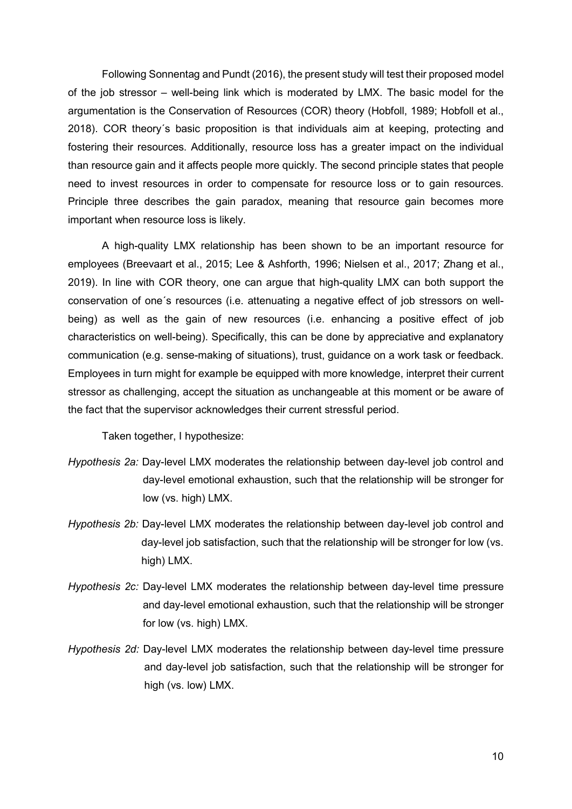Following Sonnentag and Pundt (2016), the present study will test their proposed model of the job stressor – well-being link which is moderated by LMX. The basic model for the argumentation is the Conservation of Resources (COR) theory (Hobfoll, 1989; Hobfoll et al., 2018). COR theory´s basic proposition is that individuals aim at keeping, protecting and fostering their resources. Additionally, resource loss has a greater impact on the individual than resource gain and it affects people more quickly. The second principle states that people need to invest resources in order to compensate for resource loss or to gain resources. Principle three describes the gain paradox, meaning that resource gain becomes more important when resource loss is likely.

A high-quality LMX relationship has been shown to be an important resource for employees (Breevaart et al., 2015; Lee & Ashforth, 1996; Nielsen et al., 2017; Zhang et al., 2019). In line with COR theory, one can argue that high-quality LMX can both support the conservation of one´s resources (i.e. attenuating a negative effect of job stressors on wellbeing) as well as the gain of new resources (i.e. enhancing a positive effect of job characteristics on well-being). Specifically, this can be done by appreciative and explanatory communication (e.g. sense-making of situations), trust, guidance on a work task or feedback. Employees in turn might for example be equipped with more knowledge, interpret their current stressor as challenging, accept the situation as unchangeable at this moment or be aware of the fact that the supervisor acknowledges their current stressful period.

Taken together, I hypothesize:

- *Hypothesis 2a:* Day-level LMX moderates the relationship between day-level job control and day-level emotional exhaustion, such that the relationship will be stronger for low (vs. high) LMX.
- *Hypothesis 2b:* Day-level LMX moderates the relationship between day-level job control and day-level job satisfaction, such that the relationship will be stronger for low (vs. high) LMX.
- *Hypothesis 2c:* Day-level LMX moderates the relationship between day-level time pressure and day-level emotional exhaustion, such that the relationship will be stronger for low (vs. high) LMX.
- *Hypothesis 2d:* Day-level LMX moderates the relationship between day-level time pressure and day-level job satisfaction, such that the relationship will be stronger for high (vs. low) LMX.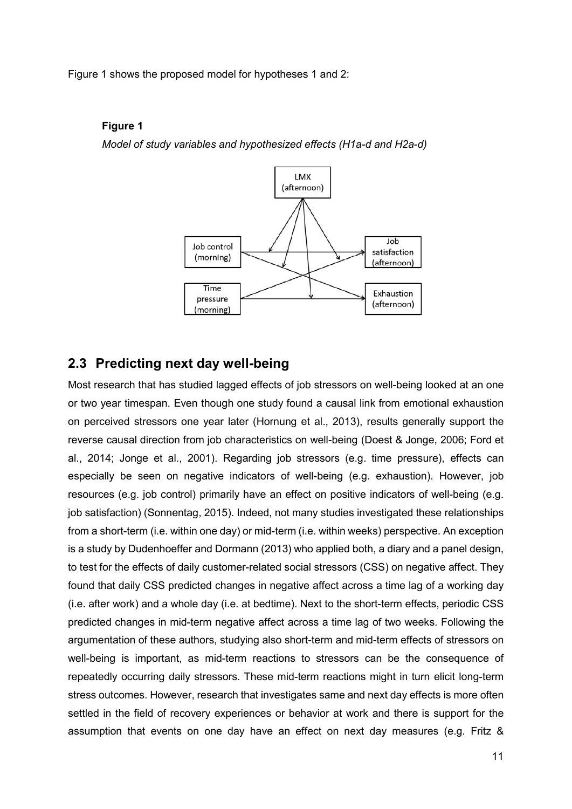Figure 1 shows the proposed model for hypotheses 1 and 2:

#### **Figure 1**

*Model of study variables and hypothesized effects (H1a-d and H2a-d)*



### **2.3 Predicting next day well-being**

Most research that has studied lagged effects of job stressors on well-being looked at an one or two year timespan. Even though one study found a causal link from emotional exhaustion on perceived stressors one year later (Hornung et al., 2013), results generally support the reverse causal direction from job characteristics on well-being (Doest & Jonge, 2006; Ford et al., 2014; Jonge et al., 2001). Regarding job stressors (e.g. time pressure), effects can especially be seen on negative indicators of well-being (e.g. exhaustion). However, job resources (e.g. job control) primarily have an effect on positive indicators of well-being (e.g. job satisfaction) (Sonnentag, 2015). Indeed, not many studies investigated these relationships from a short-term (i.e. within one day) or mid-term (i.e. within weeks) perspective. An exception is a study by Dudenhoeffer and Dormann (2013) who applied both, a diary and a panel design, to test for the effects of daily customer-related social stressors (CSS) on negative affect. They found that daily CSS predicted changes in negative affect across a time lag of a working day (i.e. after work) and a whole day (i.e. at bedtime). Next to the short-term effects, periodic CSS predicted changes in mid-term negative affect across a time lag of two weeks. Following the argumentation of these authors, studying also short-term and mid-term effects of stressors on well-being is important, as mid-term reactions to stressors can be the consequence of repeatedly occurring daily stressors. These mid-term reactions might in turn elicit long-term stress outcomes. However, research that investigates same and next day effects is more often settled in the field of recovery experiences or behavior at work and there is support for the assumption that events on one day have an effect on next day measures (e.g. Fritz &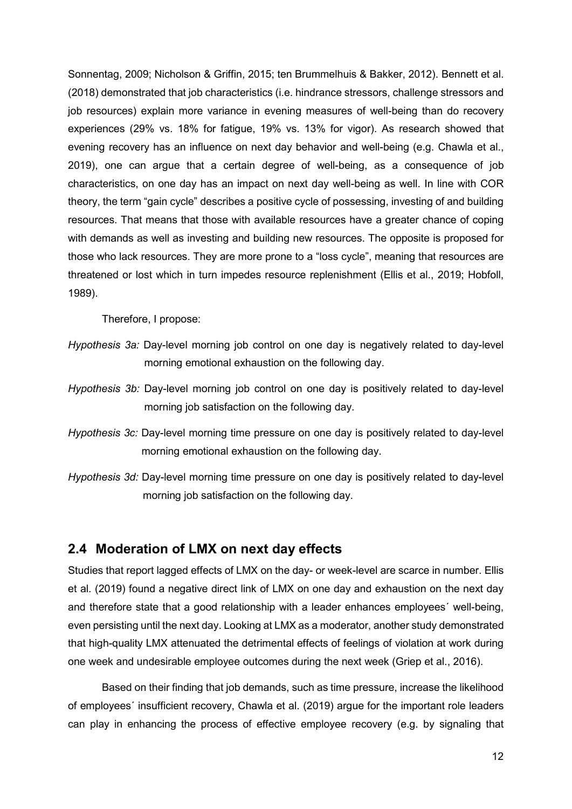Sonnentag, 2009; Nicholson & Griffin, 2015; ten Brummelhuis & Bakker, 2012). Bennett et al. (2018) demonstrated that job characteristics (i.e. hindrance stressors, challenge stressors and job resources) explain more variance in evening measures of well-being than do recovery experiences (29% vs. 18% for fatigue, 19% vs. 13% for vigor). As research showed that evening recovery has an influence on next day behavior and well-being (e.g. Chawla et al., 2019), one can argue that a certain degree of well-being, as a consequence of job characteristics, on one day has an impact on next day well-being as well. In line with COR theory, the term "gain cycle" describes a positive cycle of possessing, investing of and building resources. That means that those with available resources have a greater chance of coping with demands as well as investing and building new resources. The opposite is proposed for those who lack resources. They are more prone to a "loss cycle", meaning that resources are threatened or lost which in turn impedes resource replenishment (Ellis et al., 2019; Hobfoll, 1989).

Therefore, I propose:

- *Hypothesis 3a:* Day-level morning job control on one day is negatively related to day-level morning emotional exhaustion on the following day.
- *Hypothesis 3b:* Day-level morning job control on one day is positively related to day-level morning job satisfaction on the following day.
- *Hypothesis 3c:* Day-level morning time pressure on one day is positively related to day-level morning emotional exhaustion on the following day.
- *Hypothesis 3d:* Day-level morning time pressure on one day is positively related to day-level morning job satisfaction on the following day.

### **2.4 Moderation of LMX on next day effects**

Studies that report lagged effects of LMX on the day- or week-level are scarce in number. Ellis et al. (2019) found a negative direct link of LMX on one day and exhaustion on the next day and therefore state that a good relationship with a leader enhances employees´ well-being, even persisting until the next day. Looking at LMX as a moderator, another study demonstrated that high-quality LMX attenuated the detrimental effects of feelings of violation at work during one week and undesirable employee outcomes during the next week (Griep et al., 2016).

Based on their finding that job demands, such as time pressure, increase the likelihood of employees´ insufficient recovery, Chawla et al. (2019) argue for the important role leaders can play in enhancing the process of effective employee recovery (e.g. by signaling that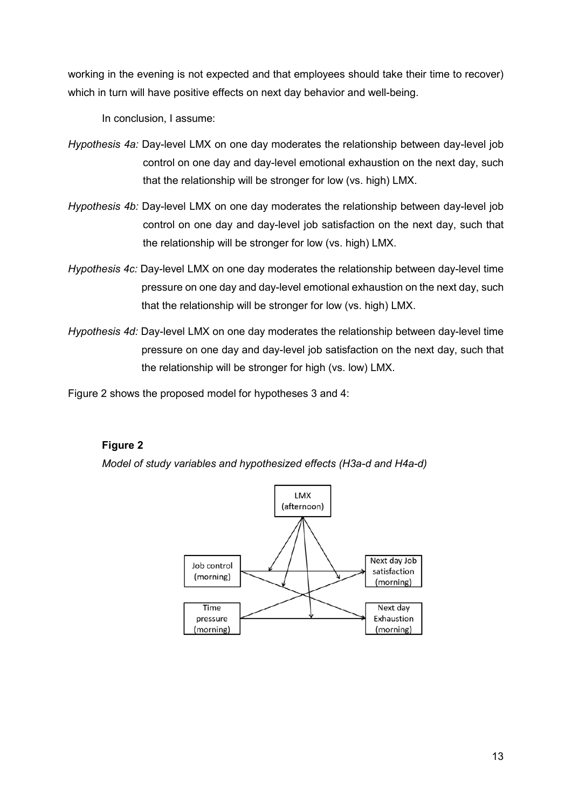working in the evening is not expected and that employees should take their time to recover) which in turn will have positive effects on next day behavior and well-being.

In conclusion, I assume:

- *Hypothesis 4a:* Day-level LMX on one day moderates the relationship between day-level job control on one day and day-level emotional exhaustion on the next day, such that the relationship will be stronger for low (vs. high) LMX.
- *Hypothesis 4b:* Day-level LMX on one day moderates the relationship between day-level job control on one day and day-level job satisfaction on the next day, such that the relationship will be stronger for low (vs. high) LMX.
- *Hypothesis 4c:* Day-level LMX on one day moderates the relationship between day-level time pressure on one day and day-level emotional exhaustion on the next day, such that the relationship will be stronger for low (vs. high) LMX.
- *Hypothesis 4d:* Day-level LMX on one day moderates the relationship between day-level time pressure on one day and day-level job satisfaction on the next day, such that the relationship will be stronger for high (vs. low) LMX.

Figure 2 shows the proposed model for hypotheses 3 and 4:

### **Figure 2**

*Model of study variables and hypothesized effects (H3a-d and H4a-d)*

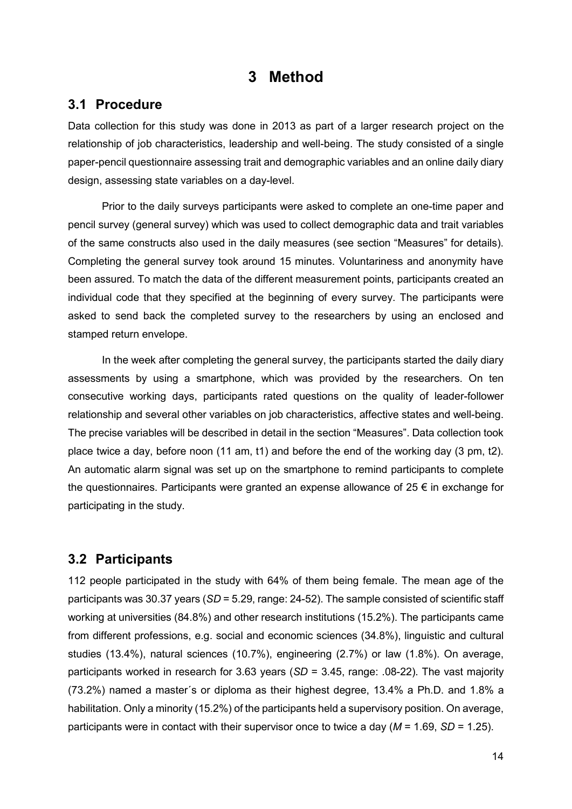# **3 Method**

### **3.1 Procedure**

Data collection for this study was done in 2013 as part of a larger research project on the relationship of job characteristics, leadership and well-being. The study consisted of a single paper-pencil questionnaire assessing trait and demographic variables and an online daily diary design, assessing state variables on a day-level.

Prior to the daily surveys participants were asked to complete an one-time paper and pencil survey (general survey) which was used to collect demographic data and trait variables of the same constructs also used in the daily measures (see section "Measures" for details). Completing the general survey took around 15 minutes. Voluntariness and anonymity have been assured. To match the data of the different measurement points, participants created an individual code that they specified at the beginning of every survey. The participants were asked to send back the completed survey to the researchers by using an enclosed and stamped return envelope.

In the week after completing the general survey, the participants started the daily diary assessments by using a smartphone, which was provided by the researchers. On ten consecutive working days, participants rated questions on the quality of leader-follower relationship and several other variables on job characteristics, affective states and well-being. The precise variables will be described in detail in the section "Measures". Data collection took place twice a day, before noon (11 am, t1) and before the end of the working day (3 pm, t2). An automatic alarm signal was set up on the smartphone to remind participants to complete the questionnaires. Participants were granted an expense allowance of  $25 \in \mathbb{R}$  in exchange for participating in the study.

### **3.2 Participants**

112 people participated in the study with 64% of them being female. The mean age of the participants was 30.37 years (*SD* = 5.29, range: 24-52). The sample consisted of scientific staff working at universities (84.8%) and other research institutions (15.2%). The participants came from different professions, e.g. social and economic sciences (34.8%), linguistic and cultural studies (13.4%), natural sciences (10.7%), engineering (2.7%) or law (1.8%). On average, participants worked in research for 3.63 years (*SD* = 3.45, range: .08-22). The vast majority (73.2%) named a master´s or diploma as their highest degree, 13.4% a Ph.D. and 1.8% a habilitation. Only a minority (15.2%) of the participants held a supervisory position. On average, participants were in contact with their supervisor once to twice a day (*M* = 1.69, *SD* = 1.25).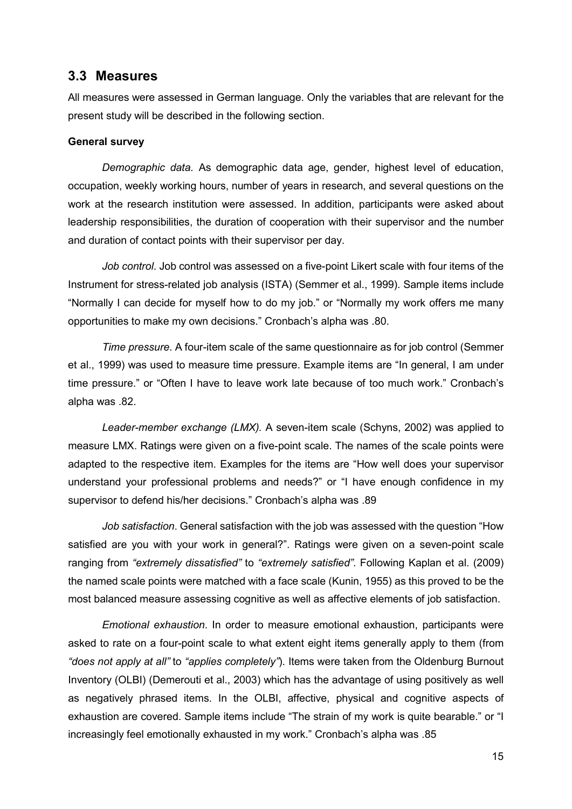### **3.3 Measures**

All measures were assessed in German language. Only the variables that are relevant for the present study will be described in the following section.

#### **General survey**

*Demographic data.* As demographic data age, gender, highest level of education, occupation, weekly working hours, number of years in research, and several questions on the work at the research institution were assessed. In addition, participants were asked about leadership responsibilities, the duration of cooperation with their supervisor and the number and duration of contact points with their supervisor per day.

*Job control*. Job control was assessed on a five-point Likert scale with four items of the Instrument for stress-related job analysis (ISTA) (Semmer et al., 1999). Sample items include "Normally I can decide for myself how to do my job." or "Normally my work offers me many opportunities to make my own decisions." Cronbach's alpha was .80.

*Time pressure*. A four-item scale of the same questionnaire as for job control (Semmer et al., 1999) was used to measure time pressure. Example items are "In general, I am under time pressure." or "Often I have to leave work late because of too much work." Cronbach's alpha was .82.

*Leader-member exchange (LMX).* A seven-item scale (Schyns, 2002) was applied to measure LMX. Ratings were given on a five-point scale. The names of the scale points were adapted to the respective item. Examples for the items are "How well does your supervisor understand your professional problems and needs?" or "I have enough confidence in my supervisor to defend his/her decisions." Cronbach's alpha was .89

*Job satisfaction*. General satisfaction with the job was assessed with the question "How satisfied are you with your work in general?". Ratings were given on a seven-point scale ranging from *"extremely dissatisfied"* to *"extremely satisfied"*. Following Kaplan et al. (2009) the named scale points were matched with a face scale (Kunin, 1955) as this proved to be the most balanced measure assessing cognitive as well as affective elements of job satisfaction.

*Emotional exhaustion*. In order to measure emotional exhaustion, participants were asked to rate on a four-point scale to what extent eight items generally apply to them (from *"does not apply at all"* to *"applies completely"*). Items were taken from the Oldenburg Burnout Inventory (OLBI) (Demerouti et al., 2003) which has the advantage of using positively as well as negatively phrased items. In the OLBI, affective, physical and cognitive aspects of exhaustion are covered. Sample items include "The strain of my work is quite bearable." or "I increasingly feel emotionally exhausted in my work." Cronbach's alpha was .85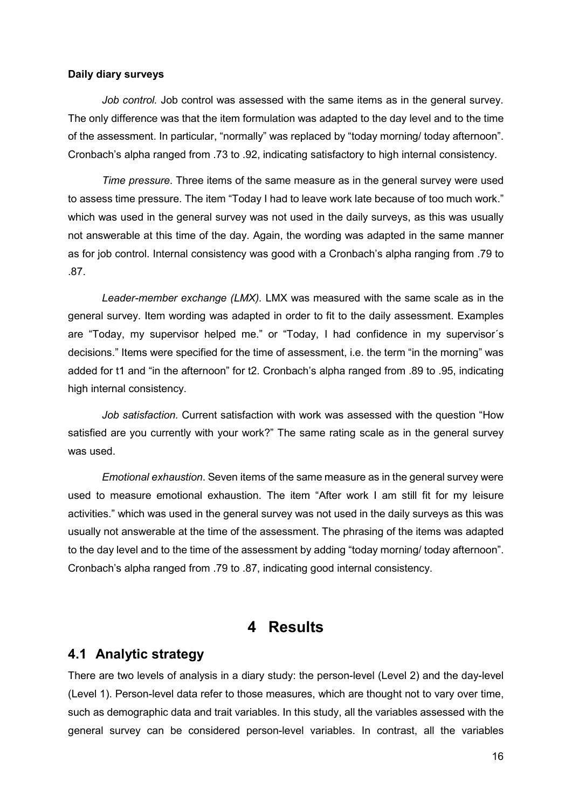#### **Daily diary surveys**

*Job control.* Job control was assessed with the same items as in the general survey. The only difference was that the item formulation was adapted to the day level and to the time of the assessment. In particular, "normally" was replaced by "today morning/ today afternoon". Cronbach's alpha ranged from .73 to .92, indicating satisfactory to high internal consistency.

*Time pressure*. Three items of the same measure as in the general survey were used to assess time pressure. The item "Today I had to leave work late because of too much work." which was used in the general survey was not used in the daily surveys, as this was usually not answerable at this time of the day. Again, the wording was adapted in the same manner as for job control. Internal consistency was good with a Cronbach's alpha ranging from .79 to .87.

*Leader-member exchange (LMX).* LMX was measured with the same scale as in the general survey. Item wording was adapted in order to fit to the daily assessment. Examples are "Today, my supervisor helped me." or "Today, I had confidence in my supervisor´s decisions." Items were specified for the time of assessment, i.e. the term "in the morning" was added for t1 and "in the afternoon" for t2. Cronbach's alpha ranged from .89 to .95, indicating high internal consistency.

*Job satisfaction.* Current satisfaction with work was assessed with the question "How satisfied are you currently with your work?" The same rating scale as in the general survey was used.

*Emotional exhaustion*. Seven items of the same measure as in the general survey were used to measure emotional exhaustion. The item "After work I am still fit for my leisure activities." which was used in the general survey was not used in the daily surveys as this was usually not answerable at the time of the assessment. The phrasing of the items was adapted to the day level and to the time of the assessment by adding "today morning/ today afternoon". Cronbach's alpha ranged from .79 to .87, indicating good internal consistency.

# **4 Results**

### **4.1 Analytic strategy**

There are two levels of analysis in a diary study: the person-level (Level 2) and the day-level (Level 1). Person-level data refer to those measures, which are thought not to vary over time, such as demographic data and trait variables. In this study, all the variables assessed with the general survey can be considered person-level variables. In contrast, all the variables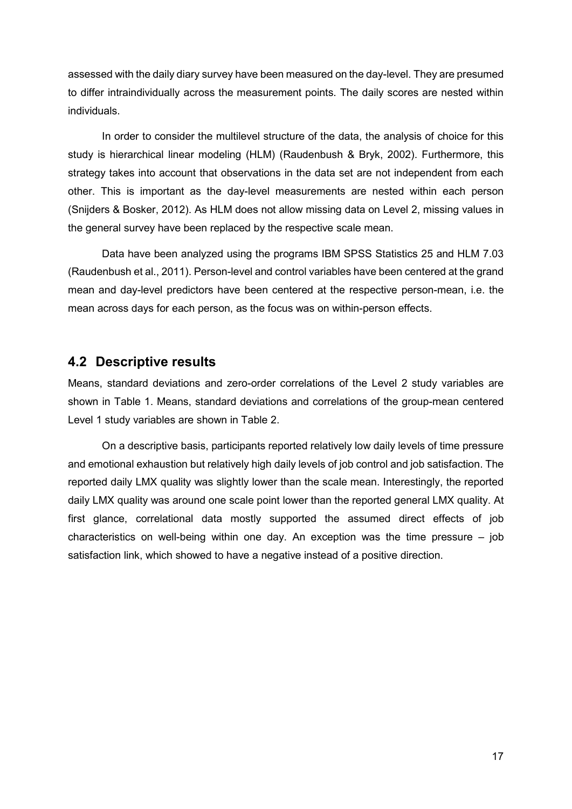assessed with the daily diary survey have been measured on the day-level. They are presumed to differ intraindividually across the measurement points. The daily scores are nested within individuals.

In order to consider the multilevel structure of the data, the analysis of choice for this study is hierarchical linear modeling (HLM) (Raudenbush & Bryk, 2002). Furthermore, this strategy takes into account that observations in the data set are not independent from each other. This is important as the day-level measurements are nested within each person (Snijders & Bosker, 2012). As HLM does not allow missing data on Level 2, missing values in the general survey have been replaced by the respective scale mean.

Data have been analyzed using the programs IBM SPSS Statistics 25 and HLM 7.03 (Raudenbush et al., 2011). Person-level and control variables have been centered at the grand mean and day-level predictors have been centered at the respective person-mean, i.e. the mean across days for each person, as the focus was on within-person effects.

### **4.2 Descriptive results**

Means, standard deviations and zero-order correlations of the Level 2 study variables are shown in Table 1. Means, standard deviations and correlations of the group-mean centered Level 1 study variables are shown in Table 2.

On a descriptive basis, participants reported relatively low daily levels of time pressure and emotional exhaustion but relatively high daily levels of job control and job satisfaction. The reported daily LMX quality was slightly lower than the scale mean. Interestingly, the reported daily LMX quality was around one scale point lower than the reported general LMX quality. At first glance, correlational data mostly supported the assumed direct effects of job characteristics on well-being within one day. An exception was the time pressure – job satisfaction link, which showed to have a negative instead of a positive direction.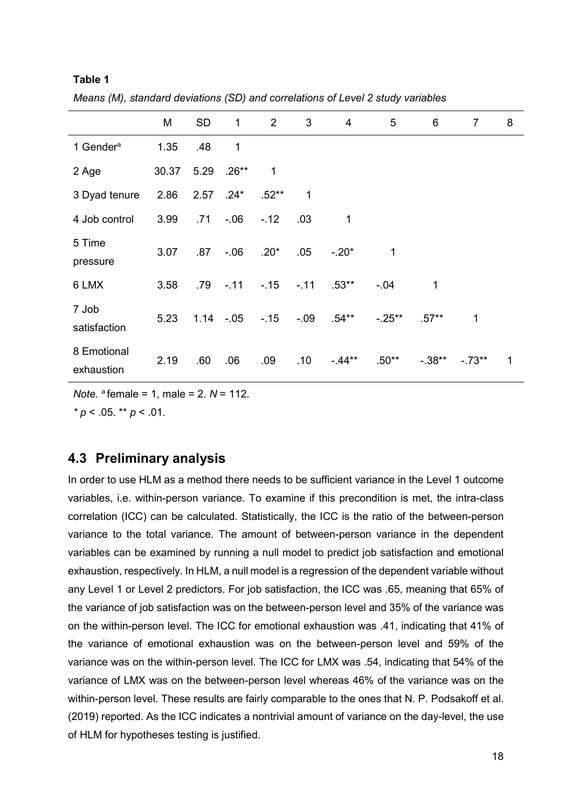|                           | M     | <b>SD</b> | $\mathbf{1}$  | $\overline{2}$ | 3      | $\overline{\mathbf{4}}$ | 5        | 6           | $\overline{7}$ | 8 |
|---------------------------|-------|-----------|---------------|----------------|--------|-------------------------|----------|-------------|----------------|---|
| 1 Gender <sup>a</sup>     | 1.35  | .48       | 1             |                |        |                         |          |             |                |   |
| 2 Age                     | 30.37 |           | $5.29$ .26**  | $\mathbf 1$    |        |                         |          |             |                |   |
| 3 Dyad tenure             | 2.86  |           | $2.57$ .24*   | $.52**$        | 1      |                         |          |             |                |   |
| 4 Job control             | 3.99  | .71       | $-0.06$       | $-.12$         | .03    | 1                       |          |             |                |   |
| 5 Time<br>pressure        | 3.07  | .87       | $-0.06$       | $.20*$         | .05    | $-.20*$                 | 1        |             |                |   |
| 6 LMX                     | 3.58  | .79       | $-.11$        | $-.15$         | $-.11$ | $.53**$                 | $-0.04$  | $\mathbf 1$ |                |   |
| 7 Job<br>satisfaction     | 5.23  |           | $1.14 - 0.05$ | $-15$          | $-.09$ | .54**                   | $-.25**$ | $.57**$     | 1              |   |
| 8 Emotional<br>exhaustion | 2.19  | .60       | .06           | .09            | .10    | $-44**$                 | $.50**$  | $-.38**$    | $-.73**$       | 1 |

*Means (M), standard deviations (SD) and correlations of Level 2 study variables*

*Note.* a female = 1, male = 2. *N* = 112.

*\* p* < .05. \*\* *p* < .01.

**Table 1**

# **4.3 Preliminary analysis**

In order to use HLM as a method there needs to be sufficient variance in the Level 1 outcome variables, i.e. within-person variance. To examine if this precondition is met, the intra-class correlation (ICC) can be calculated. Statistically, the ICC is the ratio of the between-person variance to the total variance. The amount of between-person variance in the dependent variables can be examined by running a null model to predict job satisfaction and emotional exhaustion, respectively. In HLM, a null model is a regression of the dependent variable without any Level 1 or Level 2 predictors. For job satisfaction, the ICC was .65, meaning that 65% of the variance of job satisfaction was on the between-person level and 35% of the variance was on the within-person level. The ICC for emotional exhaustion was .41, indicating that 41% of the variance of emotional exhaustion was on the between-person level and 59% of the variance was on the within-person level. The ICC for LMX was .54, indicating that 54% of the variance of LMX was on the between-person level whereas 46% of the variance was on the within-person level. These results are fairly comparable to the ones that N. P. Podsakoff et al. (2019) reported. As the ICC indicates a nontrivial amount of variance on the day-level, the use of HLM for hypotheses testing is justified.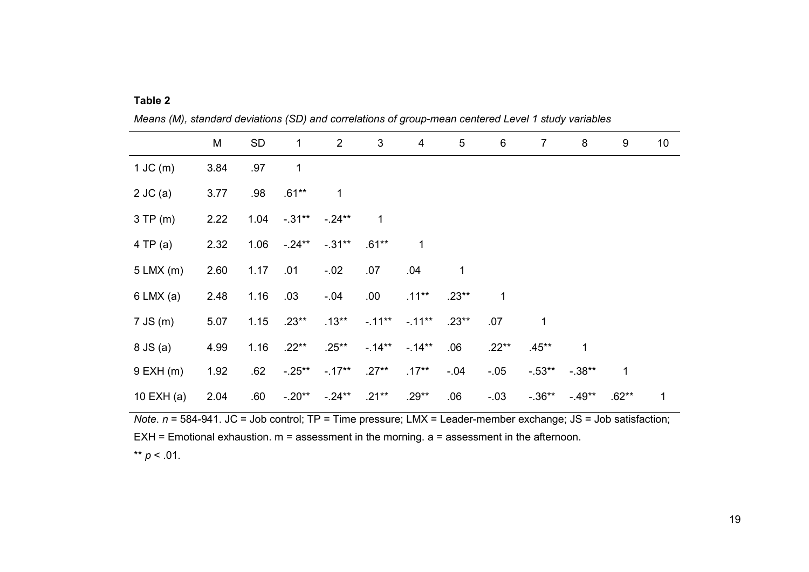|               | M    | <b>SD</b> | $\mathbf 1$ | $\overline{2}$ | 3        | $\overline{\mathbf{4}}$ | 5       | 6       | $\overline{7}$ | 8           | 9       | 10 |
|---------------|------|-----------|-------------|----------------|----------|-------------------------|---------|---------|----------------|-------------|---------|----|
| $1$ JC $(m)$  | 3.84 | .97       | 1           |                |          |                         |         |         |                |             |         |    |
| $2$ JC (a)    | 3.77 | .98       | $.61***$    | $\mathbf 1$    |          |                         |         |         |                |             |         |    |
| $3$ TP (m)    | 2.22 | 1.04      | $-.31***$   | $-.24**$       | 1        |                         |         |         |                |             |         |    |
| 4 TP(a)       | 2.32 | 1.06      | $-.24**$    | $-.31**$       | $.61**$  | $\mathbf{1}$            |         |         |                |             |         |    |
| $5$ LMX (m)   | 2.60 | 1.17      | .01         | $-.02$         | .07      | .04                     | 1       |         |                |             |         |    |
| $6$ LMX (a)   | 2.48 | 1.16      | .03         | $-.04$         | .00.     | $.11***$                | $.23**$ | 1       |                |             |         |    |
| $7$ JS (m)    | 5.07 | 1.15      | $.23**$     | $.13***$       | $-.11**$ | $-11**$                 | $.23**$ | .07     | 1              |             |         |    |
| 8 JS (a)      | 4.99 | 1.16      | $.22**$     | $.25***$       | $-14**$  | $-14**$                 | .06     | $.22**$ | $.45***$       | $\mathbf 1$ |         |    |
| $9$ EXH $(m)$ | 1.92 | .62       | $-.25**$    | $-.17**$       | $.27**$  | $.17***$                | $-.04$  | $-.05$  | $-0.53**$      | $-.38**$    | 1       |    |
| 10 EXH (a)    | 2.04 | .60       | $-.20**$    | $-.24**$       | $.21***$ | $.29**$                 | .06     | $-.03$  | $-.36**$       | $-.49**$    | $.62**$ | 1  |

*Means (M), standard deviations (SD) and correlations of group-mean centered Level 1 study variables*

**Table 2**

*Note*. *n* = 584-941. JC = Job control; TP = Time pressure; LMX = Leader-member exchange; JS = Job satisfaction; EXH = Emotional exhaustion. m = assessment in the morning. a = assessment in the afternoon. \*\*  $p < .01$ .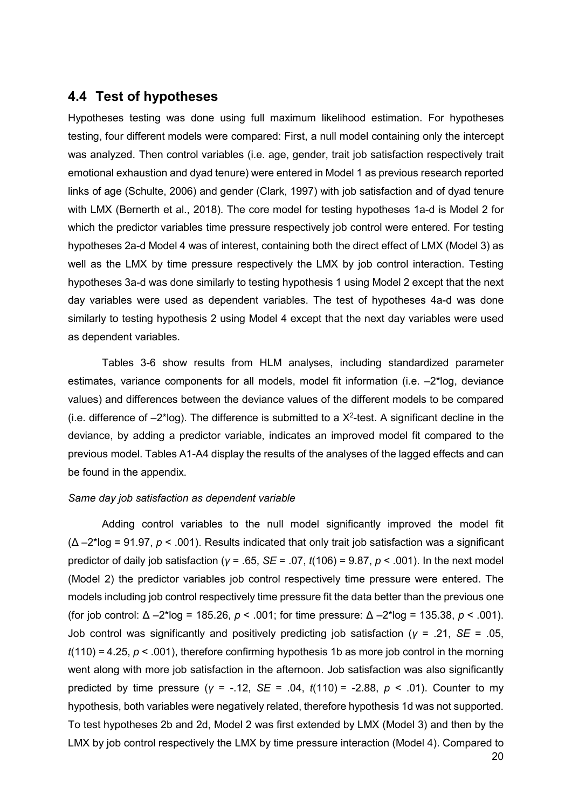### **4.4 Test of hypotheses**

Hypotheses testing was done using full maximum likelihood estimation. For hypotheses testing, four different models were compared: First, a null model containing only the intercept was analyzed. Then control variables (i.e. age, gender, trait job satisfaction respectively trait emotional exhaustion and dyad tenure) were entered in Model 1 as previous research reported links of age (Schulte, 2006) and gender (Clark, 1997) with job satisfaction and of dyad tenure with LMX (Bernerth et al., 2018). The core model for testing hypotheses 1a-d is Model 2 for which the predictor variables time pressure respectively job control were entered. For testing hypotheses 2a-d Model 4 was of interest, containing both the direct effect of LMX (Model 3) as well as the LMX by time pressure respectively the LMX by job control interaction. Testing hypotheses 3a-d was done similarly to testing hypothesis 1 using Model 2 except that the next day variables were used as dependent variables. The test of hypotheses 4a-d was done similarly to testing hypothesis 2 using Model 4 except that the next day variables were used as dependent variables.

Tables 3-6 show results from HLM analyses, including standardized parameter estimates, variance components for all models, model fit information (i.e. –2\*log, deviance values) and differences between the deviance values of the different models to be compared (i.e. difference of  $-2^*$ log). The difference is submitted to a  $X^2$ -test. A significant decline in the deviance, by adding a predictor variable, indicates an improved model fit compared to the previous model. Tables A1-A4 display the results of the analyses of the lagged effects and can be found in the appendix.

#### *Same day job satisfaction as dependent variable*

Adding control variables to the null model significantly improved the model fit (Δ –2\*log = 91.97, *p* < .001). Results indicated that only trait job satisfaction was a significant predictor of daily job satisfaction (*γ* = .65, *SE* = .07, *t*(106) = 9.87, *p* < .001). In the next model (Model 2) the predictor variables job control respectively time pressure were entered. The models including job control respectively time pressure fit the data better than the previous one (for job control: Δ –2\*log = 185.26, *p* < .001; for time pressure: Δ –2\*log = 135.38, *p* < .001). Job control was significantly and positively predicting job satisfaction (*γ* = .21, *SE* = .05,  $t(110) = 4.25$ ,  $p < .001$ ), therefore confirming hypothesis 1b as more job control in the morning went along with more job satisfaction in the afternoon. Job satisfaction was also significantly predicted by time pressure (*γ* = -.12, *SE* = .04, *t*(110) = -2.88, *p* < .01). Counter to my hypothesis, both variables were negatively related, therefore hypothesis 1d was not supported. To test hypotheses 2b and 2d, Model 2 was first extended by LMX (Model 3) and then by the LMX by job control respectively the LMX by time pressure interaction (Model 4). Compared to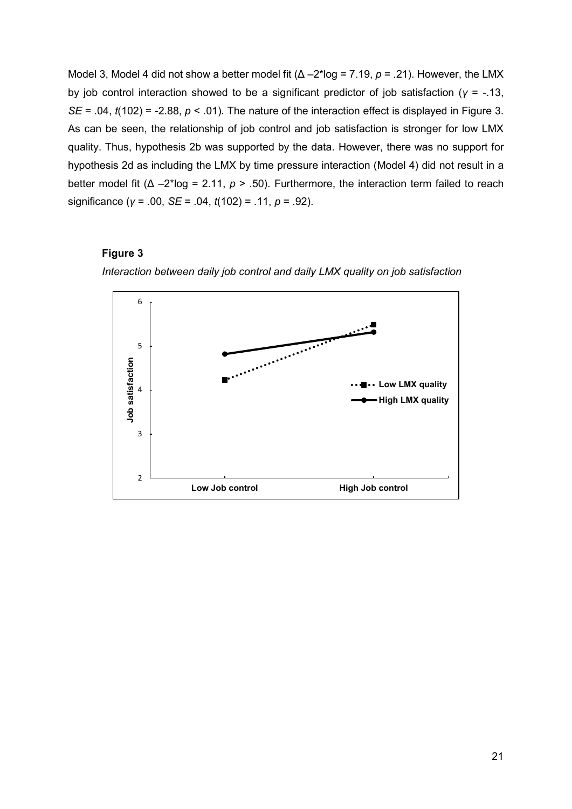Model 3, Model 4 did not show a better model fit (Δ –2\*log = 7.19, *p* = .21). However, the LMX by job control interaction showed to be a significant predictor of job satisfaction (*γ* = -.13, *SE* = .04,  $t(102)$  = -2.88,  $p < .01$ ). The nature of the interaction effect is displayed in Figure 3. As can be seen, the relationship of job control and job satisfaction is stronger for low LMX quality. Thus, hypothesis 2b was supported by the data. However, there was no support for hypothesis 2d as including the LMX by time pressure interaction (Model 4) did not result in a better model fit (Δ –2\*log = 2.11, *p* > .50). Furthermore, the interaction term failed to reach significance (*γ* = .00, *SE* = .04, *t*(102) = .11, *p* = .92).

#### **Figure 3**



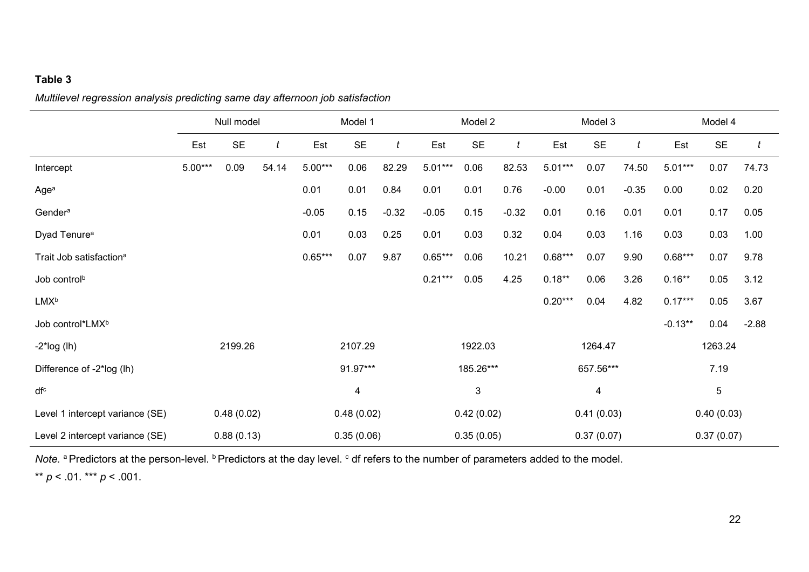### **Table 3**

### *Multilevel regression analysis predicting same day afternoon job satisfaction*

|                                     | Null model |            |       | Model 1    |            |         | Model 2   |            |         | Model 3   |            |         | Model 4   |            |         |
|-------------------------------------|------------|------------|-------|------------|------------|---------|-----------|------------|---------|-----------|------------|---------|-----------|------------|---------|
|                                     | Est        | <b>SE</b>  | t     | Est        | <b>SE</b>  | t       | Est       | <b>SE</b>  | t       | Est       | <b>SE</b>  | t       | Est       | <b>SE</b>  | t       |
| Intercept                           | $5.00***$  | 0.09       | 54.14 | $5.00***$  | 0.06       | 82.29   | $5.01***$ | 0.06       | 82.53   | $5.01***$ | 0.07       | 74.50   | $5.01***$ | 0.07       | 74.73   |
| Age <sup>a</sup>                    |            |            |       | 0.01       | 0.01       | 0.84    | 0.01      | 0.01       | 0.76    | $-0.00$   | 0.01       | $-0.35$ | 0.00      | 0.02       | 0.20    |
| Gender <sup>a</sup>                 |            |            |       | $-0.05$    | 0.15       | $-0.32$ | $-0.05$   | 0.15       | $-0.32$ | 0.01      | 0.16       | 0.01    | 0.01      | 0.17       | 0.05    |
| Dyad Tenure <sup>a</sup>            |            |            |       | 0.01       | 0.03       | 0.25    | 0.01      | 0.03       | 0.32    | 0.04      | 0.03       | 1.16    | 0.03      | 0.03       | 1.00    |
| Trait Job satisfaction <sup>a</sup> |            |            |       | $0.65***$  | 0.07       | 9.87    | $0.65***$ | 0.06       | 10.21   | $0.68***$ | 0.07       | 9.90    | $0.68***$ | 0.07       | 9.78    |
| Job control <sup>b</sup>            |            |            |       |            |            |         | $0.21***$ | 0.05       | 4.25    | $0.18***$ | 0.06       | 3.26    | $0.16**$  | 0.05       | 3.12    |
| <b>LMXb</b>                         |            |            |       |            |            |         |           |            |         | $0.20***$ | 0.04       | 4.82    | $0.17***$ | 0.05       | 3.67    |
| Job control*LMX <sup>b</sup>        |            |            |       |            |            |         |           |            |         |           |            |         | $-0.13**$ | 0.04       | $-2.88$ |
| $-2$ *log (lh)                      |            | 2199.26    |       |            | 2107.29    |         |           | 1922.03    |         |           | 1264.47    |         |           | 1263.24    |         |
| Difference of -2*log (lh)           |            |            |       |            | 91.97***   |         |           | 185.26***  |         |           | 657.56***  |         |           | 7.19       |         |
| df <sup>c</sup>                     |            |            |       |            | 4          |         |           | 3          |         |           | 4          |         |           | $\sqrt{5}$ |         |
| Level 1 intercept variance (SE)     |            | 0.48(0.02) |       | 0.48(0.02) |            |         |           | 0.42(0.02) |         |           | 0.41(0.03) |         |           | 0.40(0.03) |         |
| Level 2 intercept variance (SE)     |            | 0.88(0.13) |       |            | 0.35(0.06) |         |           | 0.35(0.05) |         |           | 0.37(0.07) |         |           | 0.37(0.07) |         |

*Note.* <sup>a</sup> Predictors at the person-level. <sup>b</sup> Predictors at the day level. <sup>c</sup> df refers to the number of parameters added to the model.

\*\* *p* < .01. \*\*\* *p* < .001.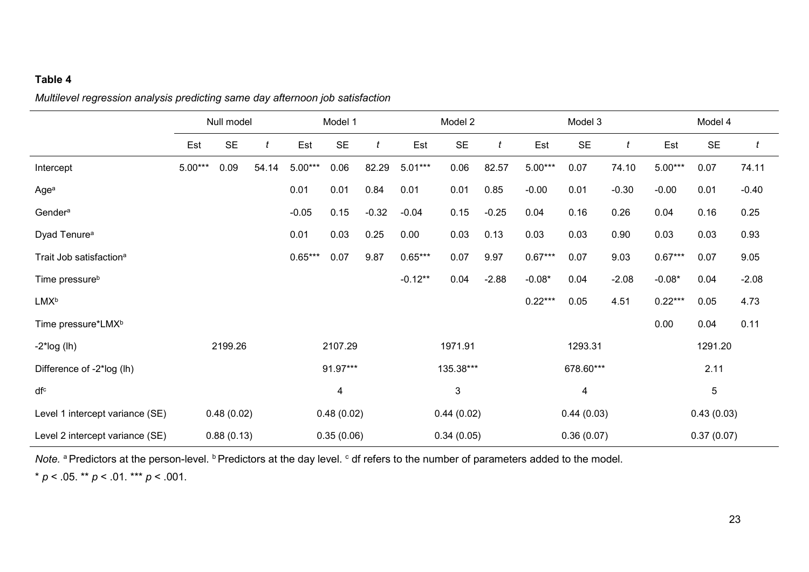### **Table 4**

*Multilevel regression analysis predicting same day afternoon job satisfaction*

|                                     | Null model |            |       | Model 1    |            |         | Model 2   |            |         | Model 3   |            |         | Model 4   |            |         |
|-------------------------------------|------------|------------|-------|------------|------------|---------|-----------|------------|---------|-----------|------------|---------|-----------|------------|---------|
|                                     | Est        | <b>SE</b>  | t     | Est        | <b>SE</b>  | t       | Est       | <b>SE</b>  | t       | Est       | <b>SE</b>  | t       | Est       | <b>SE</b>  |         |
| Intercept                           | $5.00***$  | 0.09       | 54.14 | $5.00***$  | 0.06       | 82.29   | $5.01***$ | 0.06       | 82.57   | $5.00***$ | 0.07       | 74.10   | $5.00***$ | 0.07       | 74.11   |
| Agea                                |            |            |       | 0.01       | 0.01       | 0.84    | 0.01      | 0.01       | 0.85    | $-0.00$   | 0.01       | $-0.30$ | $-0.00$   | 0.01       | $-0.40$ |
| Gender <sup>a</sup>                 |            |            |       | $-0.05$    | 0.15       | $-0.32$ | $-0.04$   | 0.15       | $-0.25$ | 0.04      | 0.16       | 0.26    | 0.04      | 0.16       | 0.25    |
| Dyad Tenure <sup>a</sup>            |            |            |       | 0.01       | 0.03       | 0.25    | 0.00      | 0.03       | 0.13    | 0.03      | 0.03       | 0.90    | 0.03      | 0.03       | 0.93    |
| Trait Job satisfaction <sup>a</sup> |            |            |       | $0.65***$  | 0.07       | 9.87    | $0.65***$ | 0.07       | 9.97    | $0.67***$ | 0.07       | 9.03    | $0.67***$ | 0.07       | 9.05    |
| Time pressure <sup>b</sup>          |            |            |       |            |            |         | $-0.12**$ | 0.04       | $-2.88$ | $-0.08*$  | 0.04       | $-2.08$ | $-0.08*$  | 0.04       | $-2.08$ |
| <b>LMX</b> <sup>b</sup>             |            |            |       |            |            |         |           |            |         | $0.22***$ | 0.05       | 4.51    | $0.22***$ | 0.05       | 4.73    |
| Time pressure*LMX <sup>b</sup>      |            |            |       |            |            |         |           |            |         |           |            |         | 0.00      | 0.04       | 0.11    |
| $-2$ *log (lh)                      |            | 2199.26    |       |            | 2107.29    |         |           | 1971.91    |         |           | 1293.31    |         |           | 1291.20    |         |
| Difference of -2*log (lh)           |            |            |       |            | 91.97***   |         |           | 135.38***  |         |           | 678.60***  |         |           | 2.11       |         |
| dfc                                 |            |            |       | 4          |            |         |           | 3          |         |           | 4          |         |           | $\sqrt{5}$ |         |
| Level 1 intercept variance (SE)     |            | 0.48(0.02) |       | 0.48(0.02) |            |         |           | 0.44(0.02) |         |           | 0.44(0.03) |         |           | 0.43(0.03) |         |
| Level 2 intercept variance (SE)     |            | 0.88(0.13) |       |            | 0.35(0.06) |         |           | 0.34(0.05) |         |           | 0.36(0.07) |         |           | 0.37(0.07) |         |

*Note.* <sup>a</sup> Predictors at the person-level. <sup>b</sup> Predictors at the day level. <sup>c</sup> df refers to the number of parameters added to the model.

\* *p* < .05. \*\* *p* < .01. \*\*\* *p* < .001.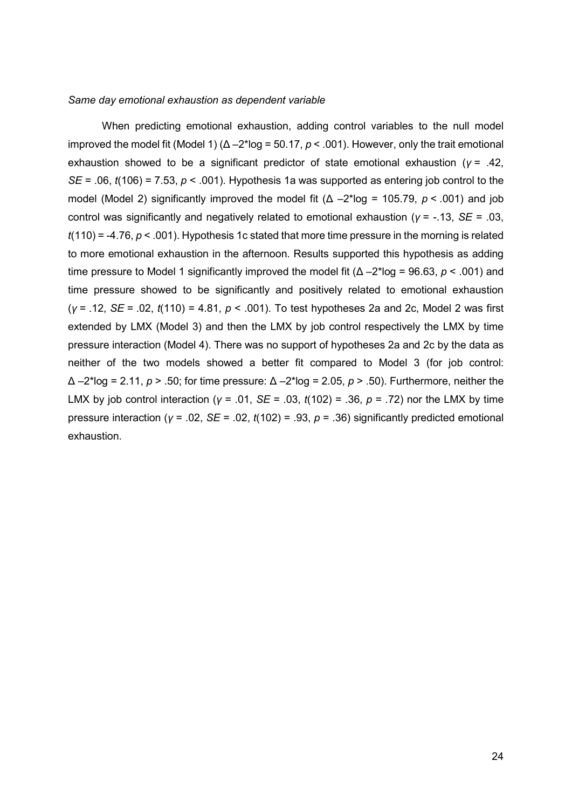#### *Same day emotional exhaustion as dependent variable*

When predicting emotional exhaustion, adding control variables to the null model improved the model fit (Model 1)  $(\Delta - 2^{\ast} \log = 50.17, p < .001)$ . However, only the trait emotional exhaustion showed to be a significant predictor of state emotional exhaustion (*γ* = .42, *SE* = .06, *t*(106) = 7.53, *p* < .001). Hypothesis 1a was supported as entering job control to the model (Model 2) significantly improved the model fit (Δ –2\*log = 105.79, *p* < .001) and job control was significantly and negatively related to emotional exhaustion (*γ* = -.13, *SE* = .03, *t*(110) = -4.76, *p* < .001). Hypothesis 1c stated that more time pressure in the morning is related to more emotional exhaustion in the afternoon. Results supported this hypothesis as adding time pressure to Model 1 significantly improved the model fit (Δ –2\*log = 96.63, *p* < .001) and time pressure showed to be significantly and positively related to emotional exhaustion (*γ* = .12, *SE* = .02, *t*(110) = 4.81, *p* < .001). To test hypotheses 2a and 2c, Model 2 was first extended by LMX (Model 3) and then the LMX by job control respectively the LMX by time pressure interaction (Model 4). There was no support of hypotheses 2a and 2c by the data as neither of the two models showed a better fit compared to Model 3 (for job control: Δ –2\*log = 2.11, *p* > .50; for time pressure: Δ –2\*log = 2.05, *p* > .50). Furthermore, neither the LMX by job control interaction (*γ* = .01, *SE* = .03, *t*(102) = .36, *p* = .72) nor the LMX by time pressure interaction (*γ* = .02, *SE* = .02, *t*(102) = .93, *p* = .36) significantly predicted emotional exhaustion.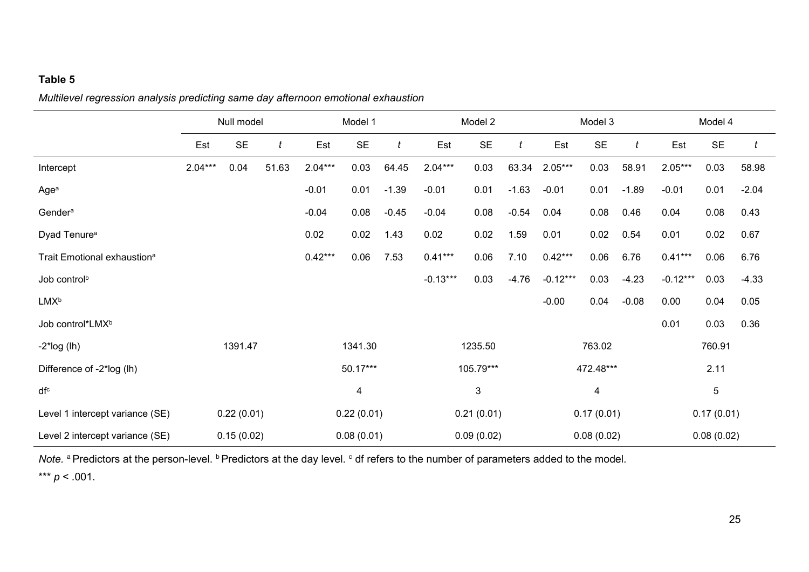### **Table 5**

*Multilevel regression analysis predicting same day afternoon emotional exhaustion*

|                                         | Null model |            |            | Model 1    |           |                | Model 2    |            |         | Model 3    |            |         | Model 4    |            |         |
|-----------------------------------------|------------|------------|------------|------------|-----------|----------------|------------|------------|---------|------------|------------|---------|------------|------------|---------|
|                                         | Est        | <b>SE</b>  | t          | Est        | <b>SE</b> | $\mathfrak{t}$ | Est        | <b>SE</b>  | t       | Est        | <b>SE</b>  | t       | Est        | <b>SE</b>  |         |
| Intercept                               | $2.04***$  | 0.04       | 51.63      | $2.04***$  | 0.03      | 64.45          | $2.04***$  | 0.03       | 63.34   | $2.05***$  | 0.03       | 58.91   | $2.05***$  | 0.03       | 58.98   |
| Agea                                    |            |            |            | $-0.01$    | 0.01      | $-1.39$        | $-0.01$    | 0.01       | $-1.63$ | $-0.01$    | 0.01       | $-1.89$ | $-0.01$    | 0.01       | $-2.04$ |
| Gender <sup>a</sup>                     |            |            |            | $-0.04$    | 0.08      | $-0.45$        | $-0.04$    | 0.08       | $-0.54$ | 0.04       | 0.08       | 0.46    | 0.04       | 0.08       | 0.43    |
| Dyad Tenure <sup>a</sup>                |            |            |            | 0.02       | 0.02      | 1.43           | 0.02       | 0.02       | 1.59    | 0.01       | 0.02       | 0.54    | 0.01       | 0.02       | 0.67    |
| Trait Emotional exhaustion <sup>a</sup> |            |            |            | $0.42***$  | 0.06      | 7.53           | $0.41***$  | 0.06       | 7.10    | $0.42***$  | 0.06       | 6.76    | $0.41***$  | 0.06       | 6.76    |
| Job control <sup>b</sup>                |            |            |            |            |           |                | $-0.13***$ | 0.03       | $-4.76$ | $-0.12***$ | 0.03       | $-4.23$ | $-0.12***$ | 0.03       | $-4.33$ |
| <b>LMXb</b>                             |            |            |            |            |           |                |            |            |         | $-0.00$    | 0.04       | $-0.08$ | 0.00       | 0.04       | 0.05    |
| Job control*LMX <sup>b</sup>            |            |            |            |            |           |                |            |            |         |            |            |         | 0.01       | 0.03       | 0.36    |
| $-2$ *log (lh)                          |            | 1391.47    |            |            | 1341.30   |                |            | 1235.50    |         |            | 763.02     |         |            | 760.91     |         |
| Difference of -2*log (lh)               |            |            |            |            | 50.17***  |                |            | 105.79***  |         |            | 472.48***  |         |            | 2.11       |         |
| dfc                                     |            |            |            | 4          |           |                |            | 3          |         |            | 4          |         |            | 5          |         |
| Level 1 intercept variance (SE)         |            | 0.22(0.01) |            | 0.22(0.01) |           |                |            | 0.21(0.01) |         |            | 0.17(0.01) |         |            | 0.17(0.01) |         |
| Level 2 intercept variance (SE)         |            | 0.15(0.02) | 0.08(0.01) |            |           |                |            | 0.09(0.02) |         |            | 0.08(0.02) |         |            | 0.08(0.02) |         |

*Note.* <sup>a</sup> Predictors at the person-level. <sup>b</sup> Predictors at the day level. <sup>c</sup> df refers to the number of parameters added to the model.

\*\*\* *p* < .001.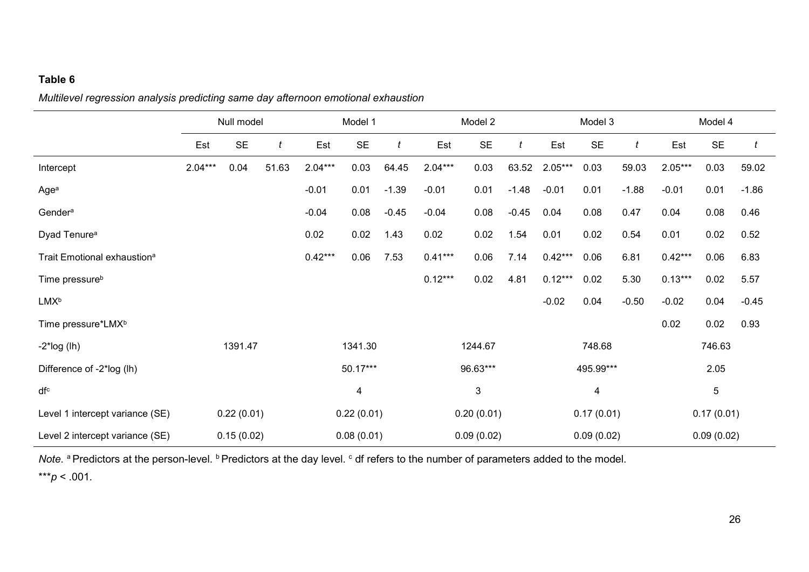### **Table 6**

*Multilevel regression analysis predicting same day afternoon emotional exhaustion*

|                                         | Null model |            |       | Model 1    |           |         | Model 2   |            |         | Model 3   |            |         | Model 4   |            |         |
|-----------------------------------------|------------|------------|-------|------------|-----------|---------|-----------|------------|---------|-----------|------------|---------|-----------|------------|---------|
|                                         | Est        | <b>SE</b>  | t     | Est        | <b>SE</b> | t       | Est       | <b>SE</b>  | t       | Est       | <b>SE</b>  | t       | Est       | <b>SE</b>  |         |
| Intercept                               | $2.04***$  | 0.04       | 51.63 | $2.04***$  | 0.03      | 64.45   | $2.04***$ | 0.03       | 63.52   | $2.05***$ | 0.03       | 59.03   | $2.05***$ | 0.03       | 59.02   |
| Age <sup>a</sup>                        |            |            |       | $-0.01$    | 0.01      | $-1.39$ | $-0.01$   | 0.01       | $-1.48$ | $-0.01$   | 0.01       | $-1.88$ | $-0.01$   | 0.01       | $-1.86$ |
| Gender <sup>a</sup>                     |            |            |       | $-0.04$    | 0.08      | $-0.45$ | $-0.04$   | 0.08       | $-0.45$ | 0.04      | 0.08       | 0.47    | 0.04      | 0.08       | 0.46    |
| Dyad Tenure <sup>a</sup>                |            |            |       | 0.02       | 0.02      | 1.43    | 0.02      | 0.02       | 1.54    | 0.01      | 0.02       | 0.54    | 0.01      | 0.02       | 0.52    |
| Trait Emotional exhaustion <sup>a</sup> |            |            |       | $0.42***$  | 0.06      | 7.53    | $0.41***$ | 0.06       | 7.14    | $0.42***$ | 0.06       | 6.81    | $0.42***$ | 0.06       | 6.83    |
| Time pressure <sup>b</sup>              |            |            |       |            |           |         | $0.12***$ | 0.02       | 4.81    | $0.12***$ | 0.02       | 5.30    | $0.13***$ | 0.02       | 5.57    |
| <b>LMXb</b>                             |            |            |       |            |           |         |           |            |         | $-0.02$   | 0.04       | $-0.50$ | $-0.02$   | 0.04       | $-0.45$ |
| Time pressure*LMX <sup>b</sup>          |            |            |       |            |           |         |           |            |         |           |            |         | 0.02      | 0.02       | 0.93    |
| $-2$ *log (lh)                          |            | 1391.47    |       |            | 1341.30   |         |           | 1244.67    |         |           | 748.68     |         |           | 746.63     |         |
| Difference of -2*log (lh)               |            |            |       |            | 50.17***  |         |           | 96.63***   |         |           | 495.99***  |         |           | 2.05       |         |
| dfc                                     |            |            |       | 4          |           |         |           | 3          |         |           | 4          |         |           | 5          |         |
| Level 1 intercept variance (SE)         |            | 0.22(0.01) |       | 0.22(0.01) |           |         |           | 0.20(0.01) |         |           | 0.17(0.01) |         |           | 0.17(0.01) |         |
| Level 2 intercept variance (SE)         |            | 0.15(0.02) |       | 0.08(0.01) |           |         |           | 0.09(0.02) |         |           | 0.09(0.02) |         |           | 0.09(0.02) |         |

*Note.* <sup>a</sup> Predictors at the person-level. <sup>b</sup> Predictors at the day level. <sup>c</sup> df refers to the number of parameters added to the model. \*\*\**p* < .001.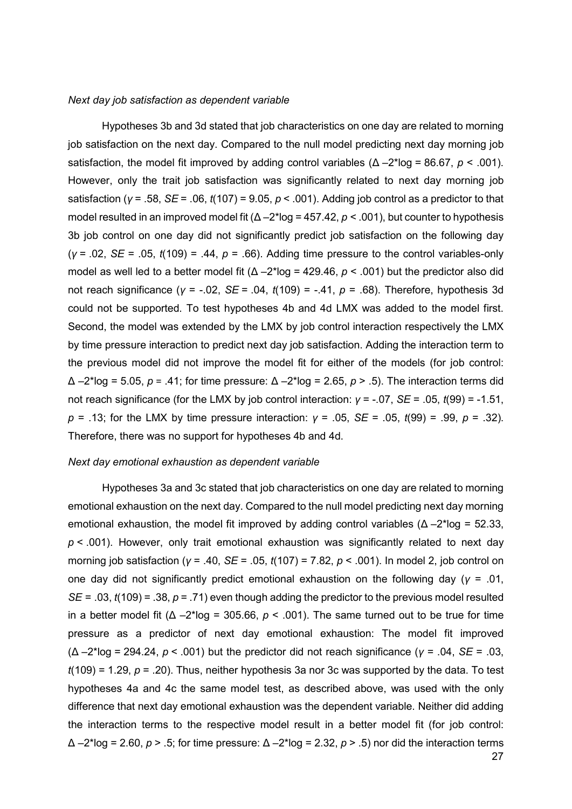#### *Next day job satisfaction as dependent variable*

Hypotheses 3b and 3d stated that job characteristics on one day are related to morning job satisfaction on the next day. Compared to the null model predicting next day morning job satisfaction, the model fit improved by adding control variables (Δ –2\*log = 86.67, *p* < .001). However, only the trait job satisfaction was significantly related to next day morning job satisfaction (*γ* = .58, *SE* = .06, *t*(107) = 9.05, *p* < .001). Adding job control as a predictor to that model resulted in an improved model fit (Δ –2\*log = 457.42, *p* < .001), but counter to hypothesis 3b job control on one day did not significantly predict job satisfaction on the following day (*γ* = .02, *SE* = .05, *t*(109) = .44, *p* = .66). Adding time pressure to the control variables-only model as well led to a better model fit (Δ –2\*log = 429.46, *p* < .001) but the predictor also did not reach significance (*γ* = -.02, *SE* = .04, *t*(109) = -.41, *p* = .68). Therefore, hypothesis 3d could not be supported. To test hypotheses 4b and 4d LMX was added to the model first. Second, the model was extended by the LMX by job control interaction respectively the LMX by time pressure interaction to predict next day job satisfaction. Adding the interaction term to the previous model did not improve the model fit for either of the models (for job control: Δ –2\*log = 5.05, *p* = .41; for time pressure: Δ –2\*log = 2.65, *p* > .5). The interaction terms did not reach significance (for the LMX by job control interaction: *γ* = -.07, *SE* = .05, *t*(99) = -1.51, *p* = .13; for the LMX by time pressure interaction: *γ* = .05, *SE* = .05, *t*(99) = .99, *p* = .32). Therefore, there was no support for hypotheses 4b and 4d.

#### *Next day emotional exhaustion as dependent variable*

Hypotheses 3a and 3c stated that job characteristics on one day are related to morning emotional exhaustion on the next day. Compared to the null model predicting next day morning emotional exhaustion, the model fit improved by adding control variables ( $\Delta - 2$ \*log = 52.33, *p* < .001). However, only trait emotional exhaustion was significantly related to next day morning job satisfaction (*γ* = .40, *SE* = .05, *t*(107) = 7.82, *p* < .001). In model 2, job control on one day did not significantly predict emotional exhaustion on the following day (*γ* = .01, *SE* = .03, *t*(109) = .38, *p* = .71) even though adding the predictor to the previous model resulted in a better model fit  $(\Delta - 2^* \log = 305.66, p < .001)$ . The same turned out to be true for time pressure as a predictor of next day emotional exhaustion: The model fit improved (Δ –2\*log = 294.24, *p* < .001) but the predictor did not reach significance (*γ* = .04, *SE* = .03, *t*(109) = 1.29, *p* = .20). Thus, neither hypothesis 3a nor 3c was supported by the data. To test hypotheses 4a and 4c the same model test, as described above, was used with the only difference that next day emotional exhaustion was the dependent variable. Neither did adding the interaction terms to the respective model result in a better model fit (for job control: Δ –2\*log = 2.60, *p* > .5; for time pressure: Δ –2\*log = 2.32, *p* > .5) nor did the interaction terms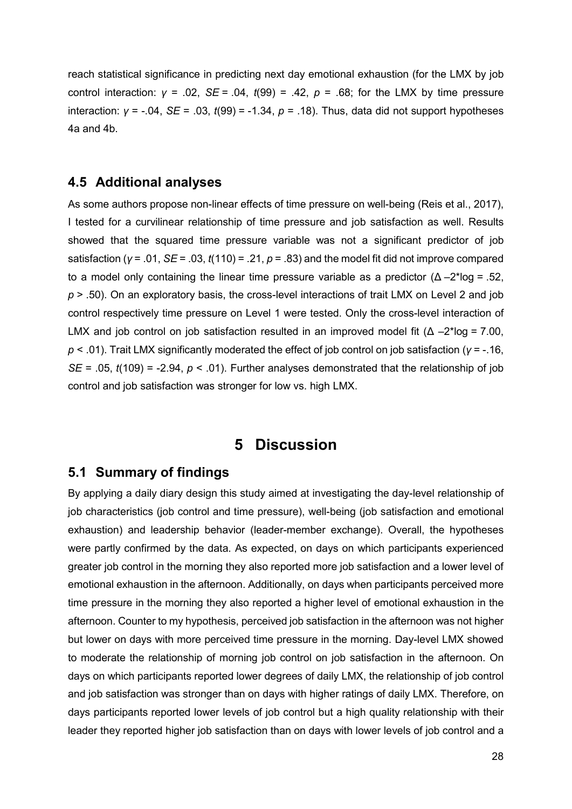reach statistical significance in predicting next day emotional exhaustion (for the LMX by job control interaction: *γ* = .02, *SE* = .04, *t*(99) = .42, *p* = .68; for the LMX by time pressure interaction: *γ* = -.04, *SE* = .03, *t*(99) = -1.34, *p* = .18). Thus, data did not support hypotheses 4a and 4b.

### **4.5 Additional analyses**

As some authors propose non-linear effects of time pressure on well-being (Reis et al., 2017), I tested for a curvilinear relationship of time pressure and job satisfaction as well. Results showed that the squared time pressure variable was not a significant predictor of job satisfaction (*γ* = .01, *SE* = .03, *t*(110) = .21, *p* = .83) and the model fit did not improve compared to a model only containing the linear time pressure variable as a predictor  $(\Delta - 2^* \log = 0.52)$ , *p* > .50). On an exploratory basis, the cross-level interactions of trait LMX on Level 2 and job control respectively time pressure on Level 1 were tested. Only the cross-level interaction of LMX and job control on job satisfaction resulted in an improved model fit  $(\Delta - 2^* \log = 7.00)$ . *p* < .01). Trait LMX significantly moderated the effect of job control on job satisfaction (*γ* = -.16, *SE* = .05,  $t(109)$  = -2.94,  $p < .01$ ). Further analyses demonstrated that the relationship of job control and job satisfaction was stronger for low vs. high LMX.

### **5 Discussion**

### **5.1 Summary of findings**

By applying a daily diary design this study aimed at investigating the day-level relationship of job characteristics (job control and time pressure), well-being (job satisfaction and emotional exhaustion) and leadership behavior (leader-member exchange). Overall, the hypotheses were partly confirmed by the data. As expected, on days on which participants experienced greater job control in the morning they also reported more job satisfaction and a lower level of emotional exhaustion in the afternoon. Additionally, on days when participants perceived more time pressure in the morning they also reported a higher level of emotional exhaustion in the afternoon. Counter to my hypothesis, perceived job satisfaction in the afternoon was not higher but lower on days with more perceived time pressure in the morning. Day-level LMX showed to moderate the relationship of morning job control on job satisfaction in the afternoon. On days on which participants reported lower degrees of daily LMX, the relationship of job control and job satisfaction was stronger than on days with higher ratings of daily LMX. Therefore, on days participants reported lower levels of job control but a high quality relationship with their leader they reported higher job satisfaction than on days with lower levels of job control and a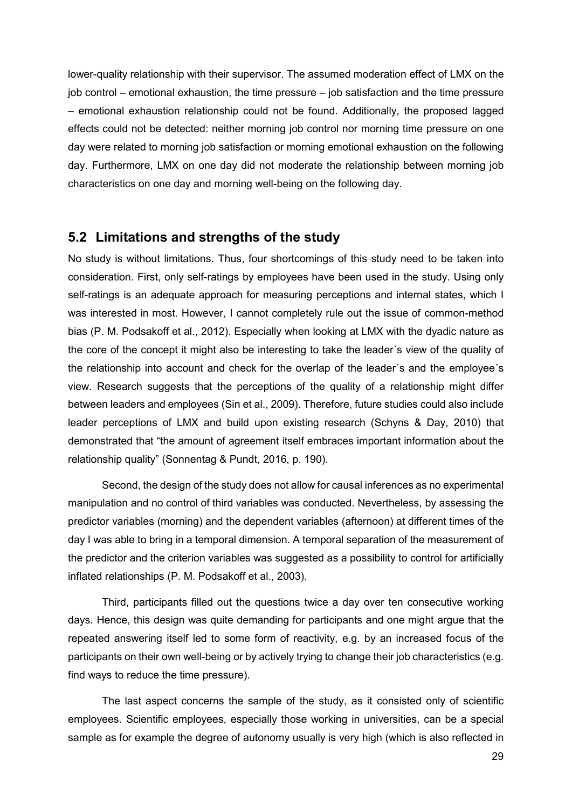lower-quality relationship with their supervisor. The assumed moderation effect of LMX on the job control – emotional exhaustion, the time pressure – job satisfaction and the time pressure – emotional exhaustion relationship could not be found. Additionally, the proposed lagged effects could not be detected: neither morning job control nor morning time pressure on one day were related to morning job satisfaction or morning emotional exhaustion on the following day. Furthermore, LMX on one day did not moderate the relationship between morning job characteristics on one day and morning well-being on the following day.

### **5.2 Limitations and strengths of the study**

No study is without limitations. Thus, four shortcomings of this study need to be taken into consideration. First, only self-ratings by employees have been used in the study. Using only self-ratings is an adequate approach for measuring perceptions and internal states, which I was interested in most. However, I cannot completely rule out the issue of common-method bias (P. M. Podsakoff et al., 2012). Especially when looking at LMX with the dyadic nature as the core of the concept it might also be interesting to take the leader´s view of the quality of the relationship into account and check for the overlap of the leader´s and the employee´s view. Research suggests that the perceptions of the quality of a relationship might differ between leaders and employees (Sin et al., 2009). Therefore, future studies could also include leader perceptions of LMX and build upon existing research (Schyns & Day, 2010) that demonstrated that "the amount of agreement itself embraces important information about the relationship quality" (Sonnentag & Pundt, 2016, p. 190).

Second, the design of the study does not allow for causal inferences as no experimental manipulation and no control of third variables was conducted. Nevertheless, by assessing the predictor variables (morning) and the dependent variables (afternoon) at different times of the day I was able to bring in a temporal dimension. A temporal separation of the measurement of the predictor and the criterion variables was suggested as a possibility to control for artificially inflated relationships (P. M. Podsakoff et al., 2003).

Third, participants filled out the questions twice a day over ten consecutive working days. Hence, this design was quite demanding for participants and one might argue that the repeated answering itself led to some form of reactivity, e.g. by an increased focus of the participants on their own well-being or by actively trying to change their job characteristics (e.g. find ways to reduce the time pressure).

The last aspect concerns the sample of the study, as it consisted only of scientific employees. Scientific employees, especially those working in universities, can be a special sample as for example the degree of autonomy usually is very high (which is also reflected in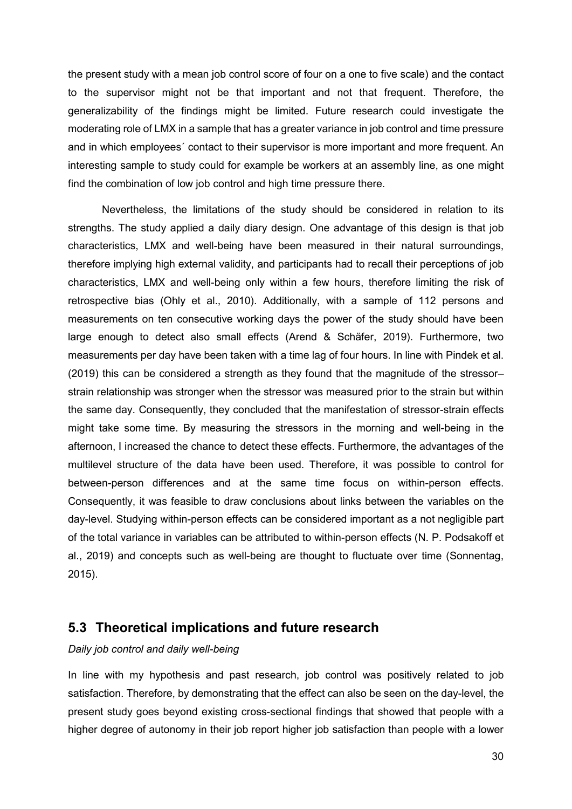the present study with a mean job control score of four on a one to five scale) and the contact to the supervisor might not be that important and not that frequent. Therefore, the generalizability of the findings might be limited. Future research could investigate the moderating role of LMX in a sample that has a greater variance in job control and time pressure and in which employees´ contact to their supervisor is more important and more frequent. An interesting sample to study could for example be workers at an assembly line, as one might find the combination of low job control and high time pressure there.

Nevertheless, the limitations of the study should be considered in relation to its strengths. The study applied a daily diary design. One advantage of this design is that job characteristics, LMX and well-being have been measured in their natural surroundings, therefore implying high external validity, and participants had to recall their perceptions of job characteristics, LMX and well-being only within a few hours, therefore limiting the risk of retrospective bias (Ohly et al., 2010). Additionally, with a sample of 112 persons and measurements on ten consecutive working days the power of the study should have been large enough to detect also small effects (Arend & Schäfer, 2019). Furthermore, two measurements per day have been taken with a time lag of four hours. In line with Pindek et al. (2019) this can be considered a strength as they found that the magnitude of the stressor– strain relationship was stronger when the stressor was measured prior to the strain but within the same day. Consequently, they concluded that the manifestation of stressor-strain effects might take some time. By measuring the stressors in the morning and well-being in the afternoon, I increased the chance to detect these effects. Furthermore, the advantages of the multilevel structure of the data have been used. Therefore, it was possible to control for between-person differences and at the same time focus on within-person effects. Consequently, it was feasible to draw conclusions about links between the variables on the day-level. Studying within-person effects can be considered important as a not negligible part of the total variance in variables can be attributed to within-person effects (N. P. Podsakoff et al., 2019) and concepts such as well-being are thought to fluctuate over time (Sonnentag, 2015).

### **5.3 Theoretical implications and future research**

### *Daily job control and daily well-being*

In line with my hypothesis and past research, job control was positively related to job satisfaction. Therefore, by demonstrating that the effect can also be seen on the day-level, the present study goes beyond existing cross-sectional findings that showed that people with a higher degree of autonomy in their job report higher job satisfaction than people with a lower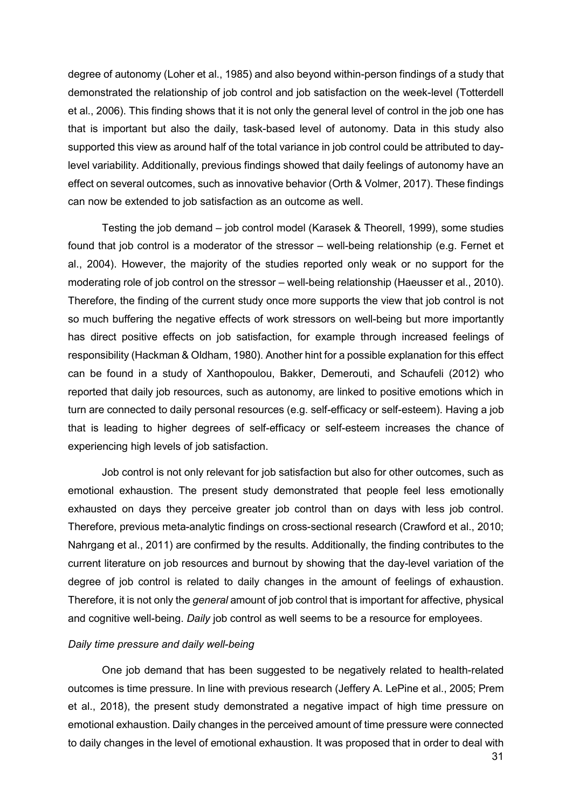degree of autonomy (Loher et al., 1985) and also beyond within-person findings of a study that demonstrated the relationship of job control and job satisfaction on the week-level (Totterdell et al., 2006). This finding shows that it is not only the general level of control in the job one has that is important but also the daily, task-based level of autonomy. Data in this study also supported this view as around half of the total variance in job control could be attributed to daylevel variability. Additionally, previous findings showed that daily feelings of autonomy have an effect on several outcomes, such as innovative behavior (Orth & Volmer, 2017). These findings can now be extended to job satisfaction as an outcome as well.

Testing the job demand – job control model (Karasek & Theorell, 1999), some studies found that job control is a moderator of the stressor – well-being relationship (e.g. Fernet et al., 2004). However, the majority of the studies reported only weak or no support for the moderating role of job control on the stressor – well-being relationship (Haeusser et al., 2010). Therefore, the finding of the current study once more supports the view that job control is not so much buffering the negative effects of work stressors on well-being but more importantly has direct positive effects on job satisfaction, for example through increased feelings of responsibility (Hackman & Oldham, 1980). Another hint for a possible explanation for this effect can be found in a study of Xanthopoulou, Bakker, Demerouti, and Schaufeli (2012) who reported that daily job resources, such as autonomy, are linked to positive emotions which in turn are connected to daily personal resources (e.g. self-efficacy or self-esteem). Having a job that is leading to higher degrees of self-efficacy or self-esteem increases the chance of experiencing high levels of job satisfaction.

Job control is not only relevant for job satisfaction but also for other outcomes, such as emotional exhaustion. The present study demonstrated that people feel less emotionally exhausted on days they perceive greater job control than on days with less job control. Therefore, previous meta-analytic findings on cross-sectional research (Crawford et al., 2010; Nahrgang et al., 2011) are confirmed by the results. Additionally, the finding contributes to the current literature on job resources and burnout by showing that the day-level variation of the degree of job control is related to daily changes in the amount of feelings of exhaustion. Therefore, it is not only the *general* amount of job control that is important for affective, physical and cognitive well-being. *Daily* job control as well seems to be a resource for employees.

#### *Daily time pressure and daily well-being*

One job demand that has been suggested to be negatively related to health-related outcomes is time pressure. In line with previous research (Jeffery A. LePine et al., 2005; Prem et al., 2018), the present study demonstrated a negative impact of high time pressure on emotional exhaustion. Daily changes in the perceived amount of time pressure were connected to daily changes in the level of emotional exhaustion. It was proposed that in order to deal with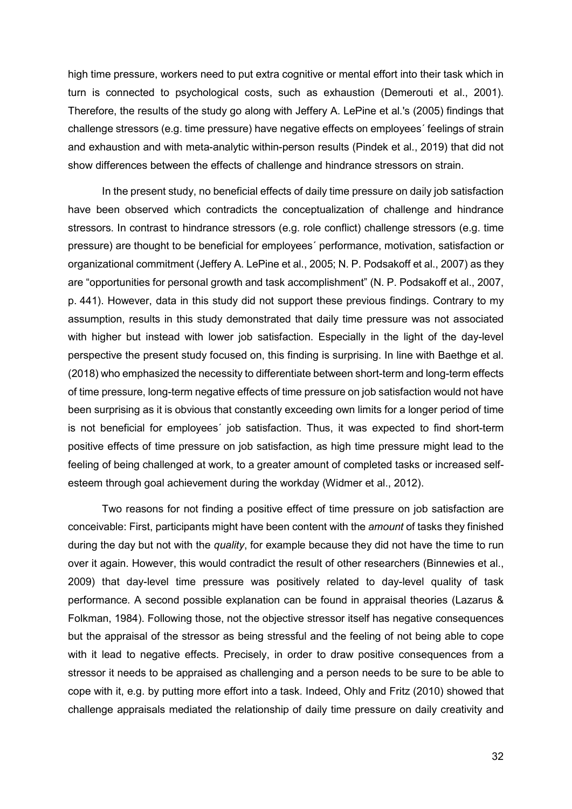high time pressure, workers need to put extra cognitive or mental effort into their task which in turn is connected to psychological costs, such as exhaustion (Demerouti et al., 2001). Therefore, the results of the study go along with Jeffery A. LePine et al.'s (2005) findings that challenge stressors (e.g. time pressure) have negative effects on employees´ feelings of strain and exhaustion and with meta-analytic within-person results (Pindek et al., 2019) that did not show differences between the effects of challenge and hindrance stressors on strain.

In the present study, no beneficial effects of daily time pressure on daily job satisfaction have been observed which contradicts the conceptualization of challenge and hindrance stressors. In contrast to hindrance stressors (e.g. role conflict) challenge stressors (e.g. time pressure) are thought to be beneficial for employees´ performance, motivation, satisfaction or organizational commitment (Jeffery A. LePine et al., 2005; N. P. Podsakoff et al., 2007) as they are "opportunities for personal growth and task accomplishment" (N. P. Podsakoff et al., 2007, p. 441). However, data in this study did not support these previous findings. Contrary to my assumption, results in this study demonstrated that daily time pressure was not associated with higher but instead with lower job satisfaction. Especially in the light of the day-level perspective the present study focused on, this finding is surprising. In line with Baethge et al. (2018) who emphasized the necessity to differentiate between short-term and long-term effects of time pressure, long-term negative effects of time pressure on job satisfaction would not have been surprising as it is obvious that constantly exceeding own limits for a longer period of time is not beneficial for employees´ job satisfaction. Thus, it was expected to find short-term positive effects of time pressure on job satisfaction, as high time pressure might lead to the feeling of being challenged at work, to a greater amount of completed tasks or increased selfesteem through goal achievement during the workday (Widmer et al., 2012).

Two reasons for not finding a positive effect of time pressure on job satisfaction are conceivable: First, participants might have been content with the *amount* of tasks they finished during the day but not with the *quality*, for example because they did not have the time to run over it again. However, this would contradict the result of other researchers (Binnewies et al., 2009) that day-level time pressure was positively related to day-level quality of task performance. A second possible explanation can be found in appraisal theories (Lazarus & Folkman, 1984). Following those, not the objective stressor itself has negative consequences but the appraisal of the stressor as being stressful and the feeling of not being able to cope with it lead to negative effects. Precisely, in order to draw positive consequences from a stressor it needs to be appraised as challenging and a person needs to be sure to be able to cope with it, e.g. by putting more effort into a task. Indeed, Ohly and Fritz (2010) showed that challenge appraisals mediated the relationship of daily time pressure on daily creativity and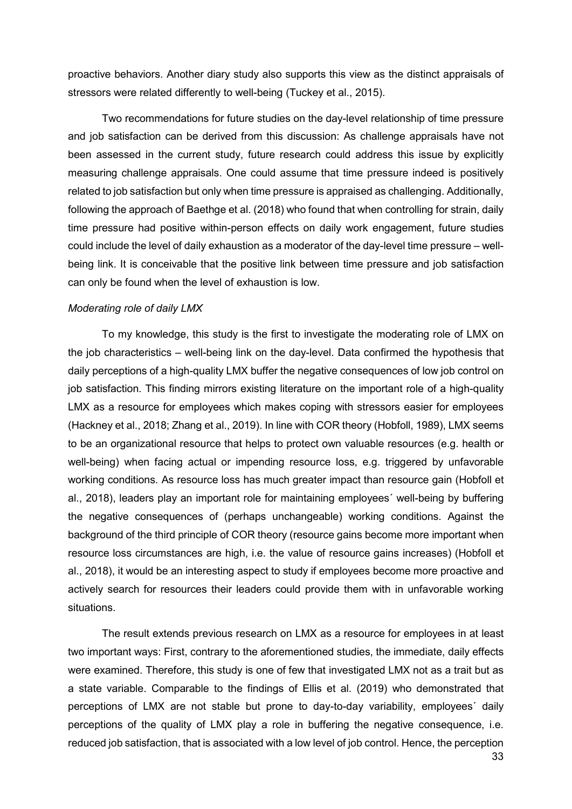proactive behaviors. Another diary study also supports this view as the distinct appraisals of stressors were related differently to well-being (Tuckey et al., 2015).

Two recommendations for future studies on the day-level relationship of time pressure and job satisfaction can be derived from this discussion: As challenge appraisals have not been assessed in the current study, future research could address this issue by explicitly measuring challenge appraisals. One could assume that time pressure indeed is positively related to job satisfaction but only when time pressure is appraised as challenging. Additionally, following the approach of Baethge et al. (2018) who found that when controlling for strain, daily time pressure had positive within-person effects on daily work engagement, future studies could include the level of daily exhaustion as a moderator of the day-level time pressure – wellbeing link. It is conceivable that the positive link between time pressure and job satisfaction can only be found when the level of exhaustion is low.

#### *Moderating role of daily LMX*

To my knowledge, this study is the first to investigate the moderating role of LMX on the job characteristics – well-being link on the day-level. Data confirmed the hypothesis that daily perceptions of a high-quality LMX buffer the negative consequences of low job control on job satisfaction. This finding mirrors existing literature on the important role of a high-quality LMX as a resource for employees which makes coping with stressors easier for employees (Hackney et al., 2018; Zhang et al., 2019). In line with COR theory (Hobfoll, 1989), LMX seems to be an organizational resource that helps to protect own valuable resources (e.g. health or well-being) when facing actual or impending resource loss, e.g. triggered by unfavorable working conditions. As resource loss has much greater impact than resource gain (Hobfoll et al., 2018), leaders play an important role for maintaining employees´ well-being by buffering the negative consequences of (perhaps unchangeable) working conditions. Against the background of the third principle of COR theory (resource gains become more important when resource loss circumstances are high, i.e. the value of resource gains increases) (Hobfoll et al., 2018), it would be an interesting aspect to study if employees become more proactive and actively search for resources their leaders could provide them with in unfavorable working situations.

The result extends previous research on LMX as a resource for employees in at least two important ways: First, contrary to the aforementioned studies, the immediate, daily effects were examined. Therefore, this study is one of few that investigated LMX not as a trait but as a state variable. Comparable to the findings of Ellis et al. (2019) who demonstrated that perceptions of LMX are not stable but prone to day-to-day variability, employees´ daily perceptions of the quality of LMX play a role in buffering the negative consequence, i.e. reduced job satisfaction, that is associated with a low level of job control. Hence, the perception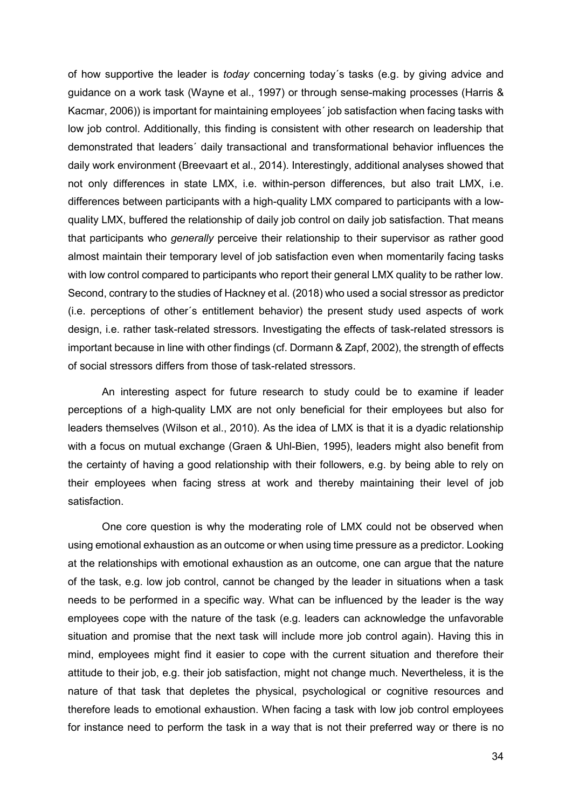of how supportive the leader is *today* concerning today´s tasks (e.g. by giving advice and guidance on a work task (Wayne et al., 1997) or through sense-making processes (Harris & Kacmar, 2006)) is important for maintaining employees´ job satisfaction when facing tasks with low job control. Additionally, this finding is consistent with other research on leadership that demonstrated that leaders´ daily transactional and transformational behavior influences the daily work environment (Breevaart et al., 2014). Interestingly, additional analyses showed that not only differences in state LMX, i.e. within-person differences, but also trait LMX, i.e. differences between participants with a high-quality LMX compared to participants with a lowquality LMX, buffered the relationship of daily job control on daily job satisfaction. That means that participants who *generally* perceive their relationship to their supervisor as rather good almost maintain their temporary level of job satisfaction even when momentarily facing tasks with low control compared to participants who report their general LMX quality to be rather low. Second, contrary to the studies of Hackney et al. (2018) who used a social stressor as predictor (i.e. perceptions of other´s entitlement behavior) the present study used aspects of work design, i.e. rather task-related stressors. Investigating the effects of task-related stressors is important because in line with other findings (cf. Dormann & Zapf, 2002), the strength of effects of social stressors differs from those of task-related stressors.

An interesting aspect for future research to study could be to examine if leader perceptions of a high-quality LMX are not only beneficial for their employees but also for leaders themselves (Wilson et al., 2010). As the idea of LMX is that it is a dyadic relationship with a focus on mutual exchange (Graen & Uhl-Bien, 1995), leaders might also benefit from the certainty of having a good relationship with their followers, e.g. by being able to rely on their employees when facing stress at work and thereby maintaining their level of job satisfaction.

One core question is why the moderating role of LMX could not be observed when using emotional exhaustion as an outcome or when using time pressure as a predictor. Looking at the relationships with emotional exhaustion as an outcome, one can argue that the nature of the task, e.g. low job control, cannot be changed by the leader in situations when a task needs to be performed in a specific way. What can be influenced by the leader is the way employees cope with the nature of the task (e.g. leaders can acknowledge the unfavorable situation and promise that the next task will include more job control again). Having this in mind, employees might find it easier to cope with the current situation and therefore their attitude to their job, e.g. their job satisfaction, might not change much. Nevertheless, it is the nature of that task that depletes the physical, psychological or cognitive resources and therefore leads to emotional exhaustion. When facing a task with low job control employees for instance need to perform the task in a way that is not their preferred way or there is no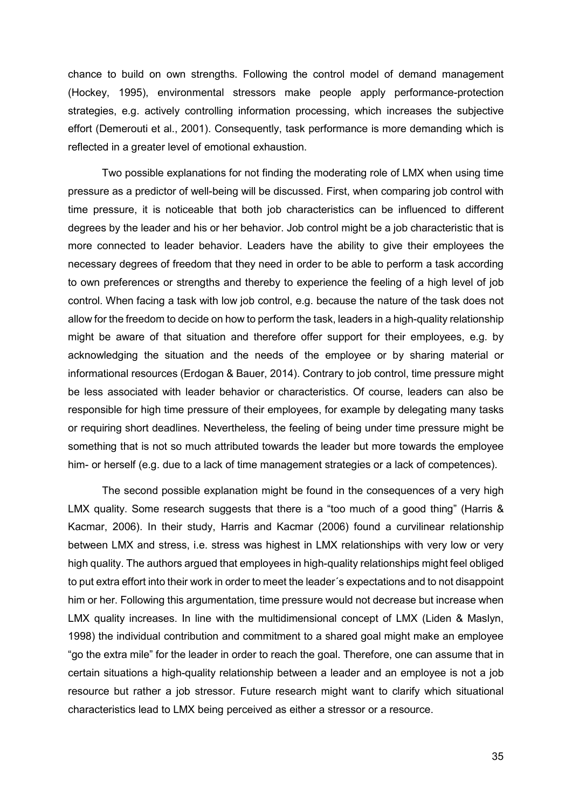chance to build on own strengths. Following the control model of demand management (Hockey, 1995), environmental stressors make people apply performance-protection strategies, e.g. actively controlling information processing, which increases the subjective effort (Demerouti et al., 2001). Consequently, task performance is more demanding which is reflected in a greater level of emotional exhaustion.

Two possible explanations for not finding the moderating role of LMX when using time pressure as a predictor of well-being will be discussed. First, when comparing job control with time pressure, it is noticeable that both job characteristics can be influenced to different degrees by the leader and his or her behavior. Job control might be a job characteristic that is more connected to leader behavior. Leaders have the ability to give their employees the necessary degrees of freedom that they need in order to be able to perform a task according to own preferences or strengths and thereby to experience the feeling of a high level of job control. When facing a task with low job control, e.g. because the nature of the task does not allow for the freedom to decide on how to perform the task, leaders in a high-quality relationship might be aware of that situation and therefore offer support for their employees, e.g. by acknowledging the situation and the needs of the employee or by sharing material or informational resources (Erdogan & Bauer, 2014). Contrary to job control, time pressure might be less associated with leader behavior or characteristics. Of course, leaders can also be responsible for high time pressure of their employees, for example by delegating many tasks or requiring short deadlines. Nevertheless, the feeling of being under time pressure might be something that is not so much attributed towards the leader but more towards the employee him- or herself (e.g. due to a lack of time management strategies or a lack of competences).

The second possible explanation might be found in the consequences of a very high LMX quality. Some research suggests that there is a "too much of a good thing" (Harris & Kacmar, 2006). In their study, Harris and Kacmar (2006) found a curvilinear relationship between LMX and stress, i.e. stress was highest in LMX relationships with very low or very high quality. The authors argued that employees in high-quality relationships might feel obliged to put extra effort into their work in order to meet the leader´s expectations and to not disappoint him or her. Following this argumentation, time pressure would not decrease but increase when LMX quality increases. In line with the multidimensional concept of LMX (Liden & Maslyn, 1998) the individual contribution and commitment to a shared goal might make an employee "go the extra mile" for the leader in order to reach the goal. Therefore, one can assume that in certain situations a high-quality relationship between a leader and an employee is not a job resource but rather a job stressor. Future research might want to clarify which situational characteristics lead to LMX being perceived as either a stressor or a resource.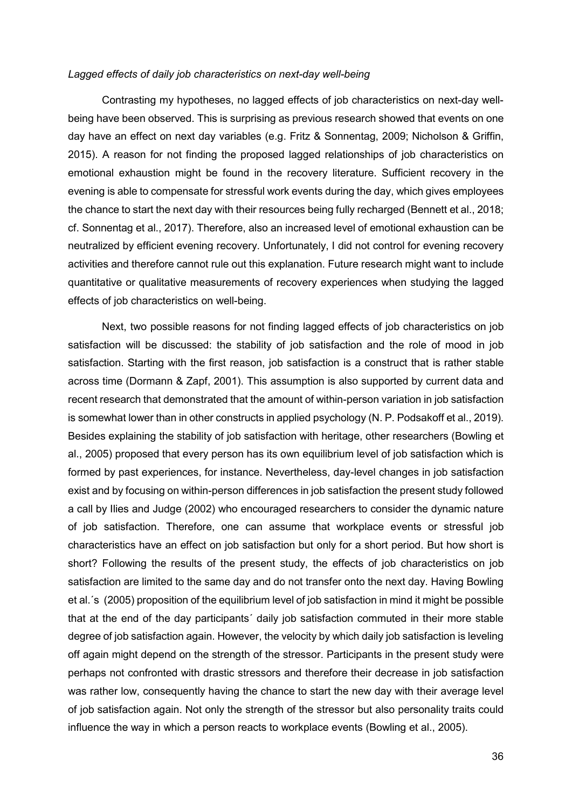#### *Lagged effects of daily job characteristics on next-day well-being*

Contrasting my hypotheses, no lagged effects of job characteristics on next-day wellbeing have been observed. This is surprising as previous research showed that events on one day have an effect on next day variables (e.g. Fritz & Sonnentag, 2009; Nicholson & Griffin, 2015). A reason for not finding the proposed lagged relationships of job characteristics on emotional exhaustion might be found in the recovery literature. Sufficient recovery in the evening is able to compensate for stressful work events during the day, which gives employees the chance to start the next day with their resources being fully recharged (Bennett et al., 2018; cf. Sonnentag et al., 2017). Therefore, also an increased level of emotional exhaustion can be neutralized by efficient evening recovery. Unfortunately, I did not control for evening recovery activities and therefore cannot rule out this explanation. Future research might want to include quantitative or qualitative measurements of recovery experiences when studying the lagged effects of job characteristics on well-being.

Next, two possible reasons for not finding lagged effects of job characteristics on job satisfaction will be discussed: the stability of job satisfaction and the role of mood in job satisfaction. Starting with the first reason, job satisfaction is a construct that is rather stable across time (Dormann & Zapf, 2001). This assumption is also supported by current data and recent research that demonstrated that the amount of within-person variation in job satisfaction is somewhat lower than in other constructs in applied psychology (N. P. Podsakoff et al., 2019). Besides explaining the stability of job satisfaction with heritage, other researchers (Bowling et al., 2005) proposed that every person has its own equilibrium level of job satisfaction which is formed by past experiences, for instance. Nevertheless, day-level changes in job satisfaction exist and by focusing on within-person differences in job satisfaction the present study followed a call by Ilies and Judge (2002) who encouraged researchers to consider the dynamic nature of job satisfaction. Therefore, one can assume that workplace events or stressful job characteristics have an effect on job satisfaction but only for a short period. But how short is short? Following the results of the present study, the effects of job characteristics on job satisfaction are limited to the same day and do not transfer onto the next day. Having Bowling et al.´s (2005) proposition of the equilibrium level of job satisfaction in mind it might be possible that at the end of the day participants´ daily job satisfaction commuted in their more stable degree of job satisfaction again. However, the velocity by which daily job satisfaction is leveling off again might depend on the strength of the stressor. Participants in the present study were perhaps not confronted with drastic stressors and therefore their decrease in job satisfaction was rather low, consequently having the chance to start the new day with their average level of job satisfaction again. Not only the strength of the stressor but also personality traits could influence the way in which a person reacts to workplace events (Bowling et al., 2005).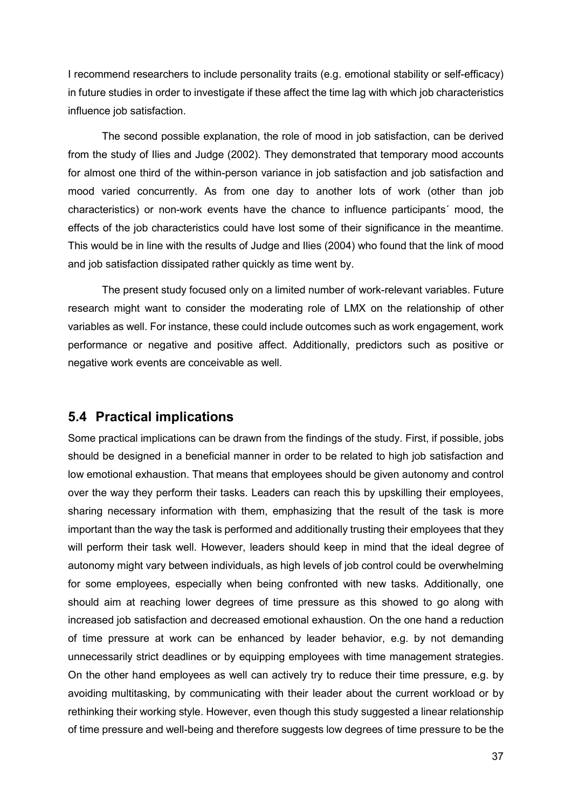I recommend researchers to include personality traits (e.g. emotional stability or self-efficacy) in future studies in order to investigate if these affect the time lag with which job characteristics influence job satisfaction.

The second possible explanation, the role of mood in job satisfaction, can be derived from the study of Ilies and Judge (2002). They demonstrated that temporary mood accounts for almost one third of the within-person variance in job satisfaction and job satisfaction and mood varied concurrently. As from one day to another lots of work (other than job characteristics) or non-work events have the chance to influence participants´ mood, the effects of the job characteristics could have lost some of their significance in the meantime. This would be in line with the results of Judge and Ilies (2004) who found that the link of mood and job satisfaction dissipated rather quickly as time went by.

The present study focused only on a limited number of work-relevant variables. Future research might want to consider the moderating role of LMX on the relationship of other variables as well. For instance, these could include outcomes such as work engagement, work performance or negative and positive affect. Additionally, predictors such as positive or negative work events are conceivable as well.

### **5.4 Practical implications**

Some practical implications can be drawn from the findings of the study. First, if possible, jobs should be designed in a beneficial manner in order to be related to high job satisfaction and low emotional exhaustion. That means that employees should be given autonomy and control over the way they perform their tasks. Leaders can reach this by upskilling their employees, sharing necessary information with them, emphasizing that the result of the task is more important than the way the task is performed and additionally trusting their employees that they will perform their task well. However, leaders should keep in mind that the ideal degree of autonomy might vary between individuals, as high levels of job control could be overwhelming for some employees, especially when being confronted with new tasks. Additionally, one should aim at reaching lower degrees of time pressure as this showed to go along with increased job satisfaction and decreased emotional exhaustion. On the one hand a reduction of time pressure at work can be enhanced by leader behavior, e.g. by not demanding unnecessarily strict deadlines or by equipping employees with time management strategies. On the other hand employees as well can actively try to reduce their time pressure, e.g. by avoiding multitasking, by communicating with their leader about the current workload or by rethinking their working style. However, even though this study suggested a linear relationship of time pressure and well-being and therefore suggests low degrees of time pressure to be the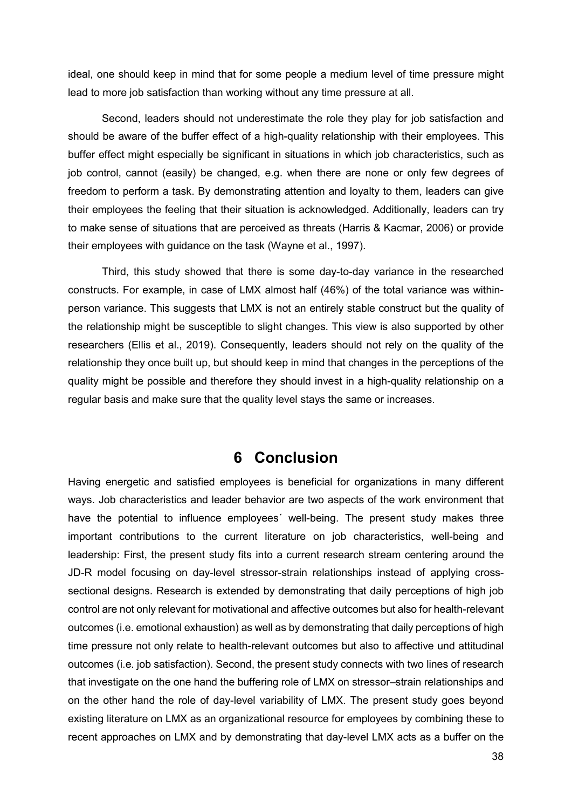ideal, one should keep in mind that for some people a medium level of time pressure might lead to more job satisfaction than working without any time pressure at all.

Second, leaders should not underestimate the role they play for job satisfaction and should be aware of the buffer effect of a high-quality relationship with their employees. This buffer effect might especially be significant in situations in which job characteristics, such as job control, cannot (easily) be changed, e.g. when there are none or only few degrees of freedom to perform a task. By demonstrating attention and loyalty to them, leaders can give their employees the feeling that their situation is acknowledged. Additionally, leaders can try to make sense of situations that are perceived as threats (Harris & Kacmar, 2006) or provide their employees with guidance on the task (Wayne et al., 1997).

Third, this study showed that there is some day-to-day variance in the researched constructs. For example, in case of LMX almost half (46%) of the total variance was withinperson variance. This suggests that LMX is not an entirely stable construct but the quality of the relationship might be susceptible to slight changes. This view is also supported by other researchers (Ellis et al., 2019). Consequently, leaders should not rely on the quality of the relationship they once built up, but should keep in mind that changes in the perceptions of the quality might be possible and therefore they should invest in a high-quality relationship on a regular basis and make sure that the quality level stays the same or increases.

### **6 Conclusion**

Having energetic and satisfied employees is beneficial for organizations in many different ways. Job characteristics and leader behavior are two aspects of the work environment that have the potential to influence employees´ well-being. The present study makes three important contributions to the current literature on job characteristics, well-being and leadership: First, the present study fits into a current research stream centering around the JD-R model focusing on day-level stressor-strain relationships instead of applying crosssectional designs. Research is extended by demonstrating that daily perceptions of high job control are not only relevant for motivational and affective outcomes but also for health-relevant outcomes (i.e. emotional exhaustion) as well as by demonstrating that daily perceptions of high time pressure not only relate to health-relevant outcomes but also to affective und attitudinal outcomes (i.e. job satisfaction). Second, the present study connects with two lines of research that investigate on the one hand the buffering role of LMX on stressor–strain relationships and on the other hand the role of day-level variability of LMX. The present study goes beyond existing literature on LMX as an organizational resource for employees by combining these to recent approaches on LMX and by demonstrating that day-level LMX acts as a buffer on the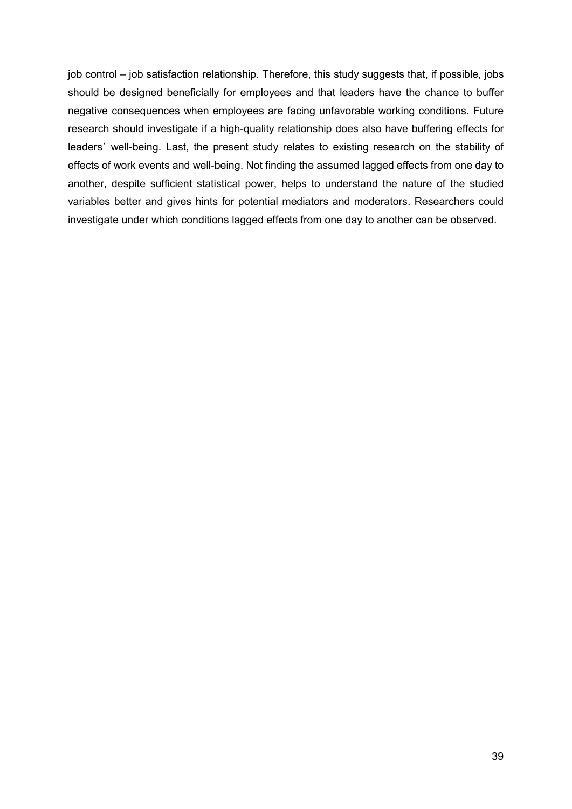job control – job satisfaction relationship. Therefore, this study suggests that, if possible, jobs should be designed beneficially for employees and that leaders have the chance to buffer negative consequences when employees are facing unfavorable working conditions. Future research should investigate if a high-quality relationship does also have buffering effects for leaders´ well-being. Last, the present study relates to existing research on the stability of effects of work events and well-being. Not finding the assumed lagged effects from one day to another, despite sufficient statistical power, helps to understand the nature of the studied variables better and gives hints for potential mediators and moderators. Researchers could investigate under which conditions lagged effects from one day to another can be observed.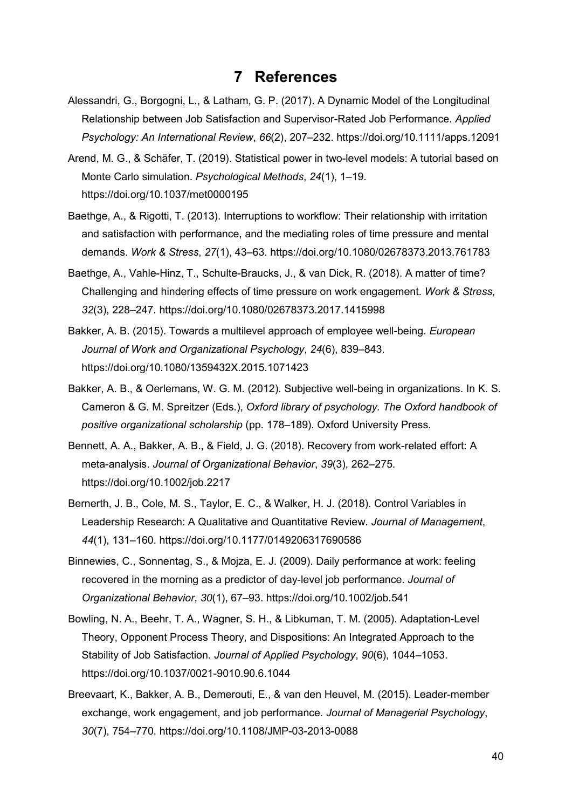### **7 References**

- Alessandri, G., Borgogni, L., & Latham, G. P. (2017). A Dynamic Model of the Longitudinal Relationship between Job Satisfaction and Supervisor-Rated Job Performance. *Applied Psychology: An International Review*, *66*(2), 207–232. https://doi.org/10.1111/apps.12091
- Arend, M. G., & Schäfer, T. (2019). Statistical power in two-level models: A tutorial based on Monte Carlo simulation. *Psychological Methods*, *24*(1), 1–19. https://doi.org/10.1037/met0000195
- Baethge, A., & Rigotti, T. (2013). Interruptions to workflow: Their relationship with irritation and satisfaction with performance, and the mediating roles of time pressure and mental demands. *Work & Stress*, *27*(1), 43–63. https://doi.org/10.1080/02678373.2013.761783
- Baethge, A., Vahle-Hinz, T., Schulte-Braucks, J., & van Dick, R. (2018). A matter of time? Challenging and hindering effects of time pressure on work engagement. *Work & Stress*, *32*(3), 228–247. https://doi.org/10.1080/02678373.2017.1415998
- Bakker, A. B. (2015). Towards a multilevel approach of employee well-being. *European Journal of Work and Organizational Psychology*, *24*(6), 839–843. https://doi.org/10.1080/1359432X.2015.1071423
- Bakker, A. B., & Oerlemans, W. G. M. (2012). Subjective well-being in organizations. In K. S. Cameron & G. M. Spreitzer (Eds.), *Oxford library of psychology. The Oxford handbook of positive organizational scholarship* (pp. 178–189). Oxford University Press.
- Bennett, A. A., Bakker, A. B., & Field, J. G. (2018). Recovery from work-related effort: A meta-analysis. *Journal of Organizational Behavior*, *39*(3), 262–275. https://doi.org/10.1002/job.2217
- Bernerth, J. B., Cole, M. S., Taylor, E. C., & Walker, H. J. (2018). Control Variables in Leadership Research: A Qualitative and Quantitative Review. *Journal of Management*, *44*(1), 131–160. https://doi.org/10.1177/0149206317690586
- Binnewies, C., Sonnentag, S., & Mojza, E. J. (2009). Daily performance at work: feeling recovered in the morning as a predictor of day-level job performance. *Journal of Organizational Behavior*, *30*(1), 67–93. https://doi.org/10.1002/job.541
- Bowling, N. A., Beehr, T. A., Wagner, S. H., & Libkuman, T. M. (2005). Adaptation-Level Theory, Opponent Process Theory, and Dispositions: An Integrated Approach to the Stability of Job Satisfaction. *Journal of Applied Psychology*, *90*(6), 1044–1053. https://doi.org/10.1037/0021-9010.90.6.1044
- Breevaart, K., Bakker, A. B., Demerouti, E., & van den Heuvel, M. (2015). Leader-member exchange, work engagement, and job performance. *Journal of Managerial Psychology*, *30*(7), 754–770. https://doi.org/10.1108/JMP-03-2013-0088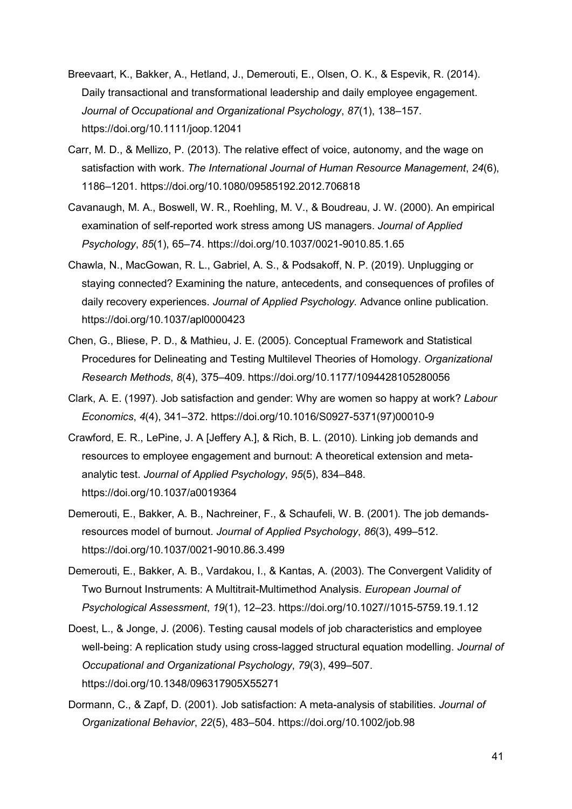- Breevaart, K., Bakker, A., Hetland, J., Demerouti, E., Olsen, O. K., & Espevik, R. (2014). Daily transactional and transformational leadership and daily employee engagement. *Journal of Occupational and Organizational Psychology*, *87*(1), 138–157. https://doi.org/10.1111/joop.12041
- Carr, M. D., & Mellizo, P. (2013). The relative effect of voice, autonomy, and the wage on satisfaction with work. *The International Journal of Human Resource Management*, *24*(6), 1186–1201. https://doi.org/10.1080/09585192.2012.706818
- Cavanaugh, M. A., Boswell, W. R., Roehling, M. V., & Boudreau, J. W. (2000). An empirical examination of self-reported work stress among US managers. *Journal of Applied Psychology*, *85*(1), 65–74. https://doi.org/10.1037/0021-9010.85.1.65
- Chawla, N., MacGowan, R. L., Gabriel, A. S., & Podsakoff, N. P. (2019). Unplugging or staying connected? Examining the nature, antecedents, and consequences of profiles of daily recovery experiences. *Journal of Applied Psychology.* Advance online publication. https://doi.org/10.1037/apl0000423
- Chen, G., Bliese, P. D., & Mathieu, J. E. (2005). Conceptual Framework and Statistical Procedures for Delineating and Testing Multilevel Theories of Homology. *Organizational Research Methods*, *8*(4), 375–409. https://doi.org/10.1177/1094428105280056
- Clark, A. E. (1997). Job satisfaction and gender: Why are women so happy at work? *Labour Economics*, *4*(4), 341–372. https://doi.org/10.1016/S0927-5371(97)00010-9
- Crawford, E. R., LePine, J. A [Jeffery A.], & Rich, B. L. (2010). Linking job demands and resources to employee engagement and burnout: A theoretical extension and metaanalytic test. *Journal of Applied Psychology*, *95*(5), 834–848. https://doi.org/10.1037/a0019364
- Demerouti, E., Bakker, A. B., Nachreiner, F., & Schaufeli, W. B. (2001). The job demandsresources model of burnout. *Journal of Applied Psychology*, *86*(3), 499–512. https://doi.org/10.1037/0021-9010.86.3.499
- Demerouti, E., Bakker, A. B., Vardakou, I., & Kantas, A. (2003). The Convergent Validity of Two Burnout Instruments: A Multitrait-Multimethod Analysis. *European Journal of Psychological Assessment*, *19*(1), 12–23. https://doi.org/10.1027//1015-5759.19.1.12
- Doest, L., & Jonge, J. (2006). Testing causal models of job characteristics and employee well-being: A replication study using cross-lagged structural equation modelling. *Journal of Occupational and Organizational Psychology*, *79*(3), 499–507. https://doi.org/10.1348/096317905X55271
- Dormann, C., & Zapf, D. (2001). Job satisfaction: A meta-analysis of stabilities. *Journal of Organizational Behavior*, *22*(5), 483–504. https://doi.org/10.1002/job.98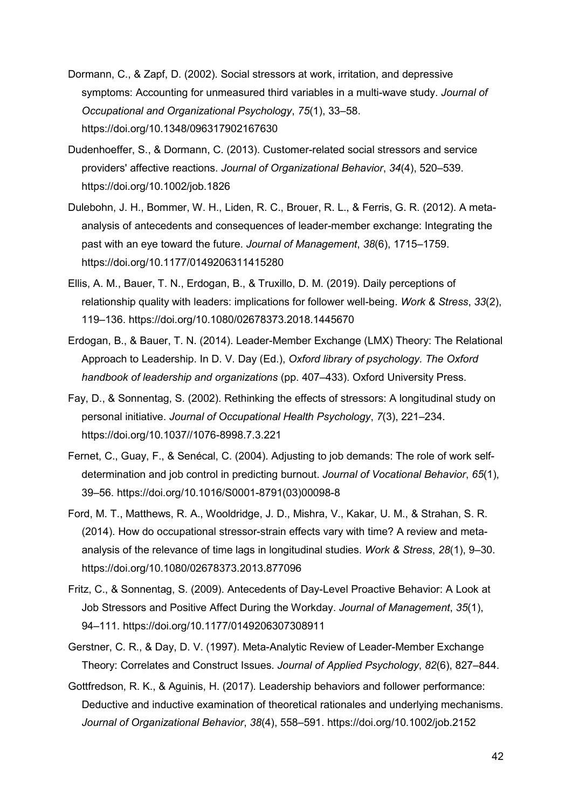- Dormann, C., & Zapf, D. (2002). Social stressors at work, irritation, and depressive symptoms: Accounting for unmeasured third variables in a multi-wave study. *Journal of Occupational and Organizational Psychology*, *75*(1), 33–58. https://doi.org/10.1348/096317902167630
- Dudenhoeffer, S., & Dormann, C. (2013). Customer-related social stressors and service providers' affective reactions. *Journal of Organizational Behavior*, *34*(4), 520–539. https://doi.org/10.1002/job.1826
- Dulebohn, J. H., Bommer, W. H., Liden, R. C., Brouer, R. L., & Ferris, G. R. (2012). A metaanalysis of antecedents and consequences of leader-member exchange: Integrating the past with an eye toward the future. *Journal of Management*, *38*(6), 1715–1759. https://doi.org/10.1177/0149206311415280
- Ellis, A. M., Bauer, T. N., Erdogan, B., & Truxillo, D. M. (2019). Daily perceptions of relationship quality with leaders: implications for follower well-being. *Work & Stress*, *33*(2), 119–136. https://doi.org/10.1080/02678373.2018.1445670
- Erdogan, B., & Bauer, T. N. (2014). Leader-Member Exchange (LMX) Theory: The Relational Approach to Leadership. In D. V. Day (Ed.), *Oxford library of psychology. The Oxford handbook of leadership and organizations* (pp. 407–433). Oxford University Press.
- Fay, D., & Sonnentag, S. (2002). Rethinking the effects of stressors: A longitudinal study on personal initiative. *Journal of Occupational Health Psychology*, *7*(3), 221–234. https://doi.org/10.1037//1076-8998.7.3.221
- Fernet, C., Guay, F., & Senécal, C. (2004). Adjusting to job demands: The role of work selfdetermination and job control in predicting burnout. *Journal of Vocational Behavior*, *65*(1), 39–56. https://doi.org/10.1016/S0001-8791(03)00098-8
- Ford, M. T., Matthews, R. A., Wooldridge, J. D., Mishra, V., Kakar, U. M., & Strahan, S. R. (2014). How do occupational stressor-strain effects vary with time? A review and metaanalysis of the relevance of time lags in longitudinal studies. *Work & Stress*, *28*(1), 9–30. https://doi.org/10.1080/02678373.2013.877096
- Fritz, C., & Sonnentag, S. (2009). Antecedents of Day-Level Proactive Behavior: A Look at Job Stressors and Positive Affect During the Workday. *Journal of Management*, *35*(1), 94–111. https://doi.org/10.1177/0149206307308911
- Gerstner, C. R., & Day, D. V. (1997). Meta-Analytic Review of Leader-Member Exchange Theory: Correlates and Construct Issues. *Journal of Applied Psychology*, *82*(6), 827–844.
- Gottfredson, R. K., & Aguinis, H. (2017). Leadership behaviors and follower performance: Deductive and inductive examination of theoretical rationales and underlying mechanisms. *Journal of Organizational Behavior*, *38*(4), 558–591. https://doi.org/10.1002/job.2152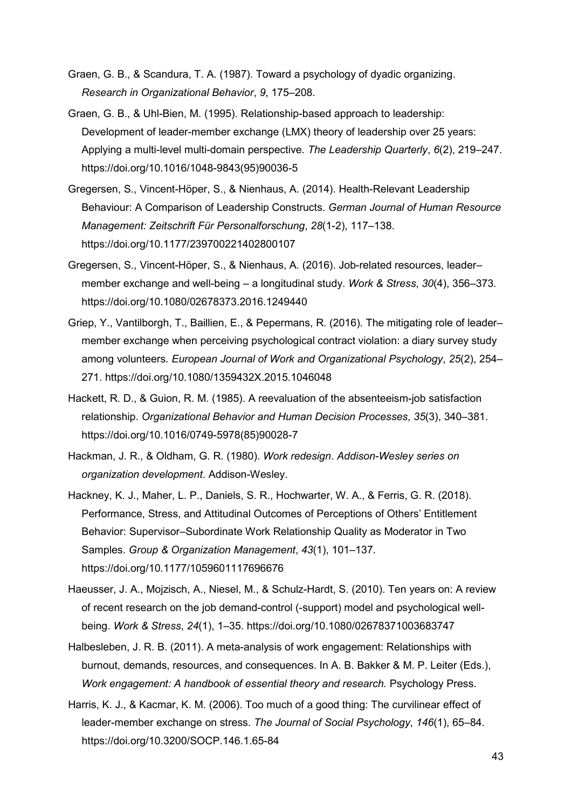- Graen, G. B., & Scandura, T. A. (1987). Toward a psychology of dyadic organizing. *Research in Organizational Behavior*, *9*, 175–208.
- Graen, G. B., & Uhl-Bien, M. (1995). Relationship-based approach to leadership: Development of leader-member exchange (LMX) theory of leadership over 25 years: Applying a multi-level multi-domain perspective. *The Leadership Quarterly*, *6*(2), 219–247. https://doi.org/10.1016/1048-9843(95)90036-5
- Gregersen, S., Vincent-Höper, S., & Nienhaus, A. (2014). Health-Relevant Leadership Behaviour: A Comparison of Leadership Constructs. *German Journal of Human Resource Management: Zeitschrift Für Personalforschung*, *28*(1-2), 117–138. https://doi.org/10.1177/239700221402800107
- Gregersen, S., Vincent-Höper, S., & Nienhaus, A. (2016). Job-related resources, leader– member exchange and well-being – a longitudinal study. *Work & Stress*, *30*(4), 356–373. https://doi.org/10.1080/02678373.2016.1249440
- Griep, Y., Vantilborgh, T., Baillien, E., & Pepermans, R. (2016). The mitigating role of leadermember exchange when perceiving psychological contract violation: a diary survey study among volunteers. *European Journal of Work and Organizational Psychology*, *25*(2), 254– 271. https://doi.org/10.1080/1359432X.2015.1046048
- Hackett, R. D., & Guion, R. M. (1985). A reevaluation of the absenteeism-job satisfaction relationship. *Organizational Behavior and Human Decision Processes*, *35*(3), 340–381. https://doi.org/10.1016/0749-5978(85)90028-7
- Hackman, J. R., & Oldham, G. R. (1980). *Work redesign*. *Addison-Wesley series on organization development*. Addison-Wesley.
- Hackney, K. J., Maher, L. P., Daniels, S. R., Hochwarter, W. A., & Ferris, G. R. (2018). Performance, Stress, and Attitudinal Outcomes of Perceptions of Others' Entitlement Behavior: Supervisor–Subordinate Work Relationship Quality as Moderator in Two Samples. *Group & Organization Management*, *43*(1), 101–137. https://doi.org/10.1177/1059601117696676
- Haeusser, J. A., Mojzisch, A., Niesel, M., & Schulz-Hardt, S. (2010). Ten years on: A review of recent research on the job demand-control (-support) model and psychological wellbeing. *Work & Stress*, *24*(1), 1–35. https://doi.org/10.1080/02678371003683747
- Halbesleben, J. R. B. (2011). A meta-analysis of work engagement: Relationships with burnout, demands, resources, and consequences. In A. B. Bakker & M. P. Leiter (Eds.), *Work engagement: A handbook of essential theory and research.* Psychology Press.
- Harris, K. J., & Kacmar, K. M. (2006). Too much of a good thing: The curvilinear effect of leader-member exchange on stress. *The Journal of Social Psychology*, *146*(1), 65–84. https://doi.org/10.3200/SOCP.146.1.65-84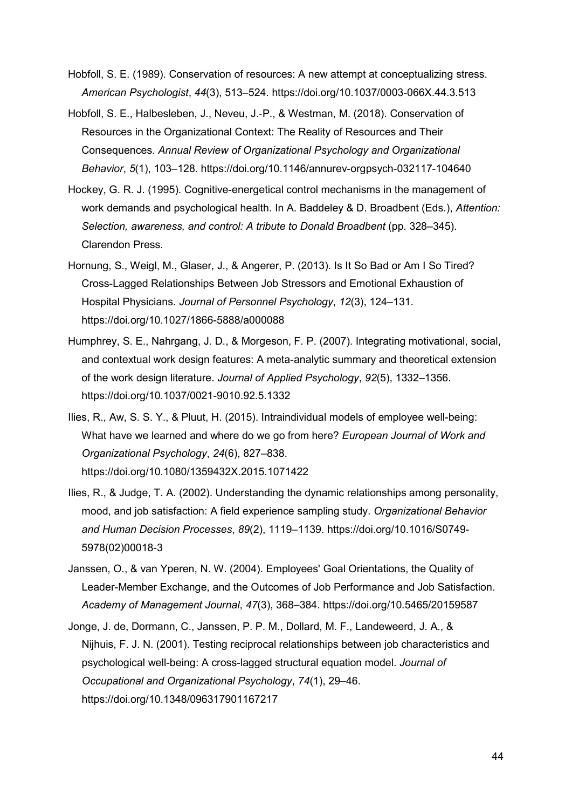- Hobfoll, S. E. (1989). Conservation of resources: A new attempt at conceptualizing stress. *American Psychologist*, *44*(3), 513–524. https://doi.org/10.1037/0003-066X.44.3.513
- Hobfoll, S. E., Halbesleben, J., Neveu, J.-P., & Westman, M. (2018). Conservation of Resources in the Organizational Context: The Reality of Resources and Their Consequences. *Annual Review of Organizational Psychology and Organizational Behavior*, *5*(1), 103–128. https://doi.org/10.1146/annurev-orgpsych-032117-104640
- Hockey, G. R. J. (1995). Cognitive-energetical control mechanisms in the management of work demands and psychological health. In A. Baddeley & D. Broadbent (Eds.), *Attention: Selection, awareness, and control: A tribute to Donald Broadbent* (pp. 328–345). Clarendon Press.
- Hornung, S., Weigl, M., Glaser, J., & Angerer, P. (2013). Is It So Bad or Am I So Tired? Cross-Lagged Relationships Between Job Stressors and Emotional Exhaustion of Hospital Physicians. *Journal of Personnel Psychology*, *12*(3), 124–131. https://doi.org/10.1027/1866-5888/a000088
- Humphrey, S. E., Nahrgang, J. D., & Morgeson, F. P. (2007). Integrating motivational, social, and contextual work design features: A meta-analytic summary and theoretical extension of the work design literature. *Journal of Applied Psychology*, *92*(5), 1332–1356. https://doi.org/10.1037/0021-9010.92.5.1332
- Ilies, R., Aw, S. S. Y., & Pluut, H. (2015). Intraindividual models of employee well-being: What have we learned and where do we go from here? *European Journal of Work and Organizational Psychology*, *24*(6), 827–838. https://doi.org/10.1080/1359432X.2015.1071422
- Ilies, R., & Judge, T. A. (2002). Understanding the dynamic relationships among personality, mood, and job satisfaction: A field experience sampling study. *Organizational Behavior and Human Decision Processes*, *89*(2), 1119–1139. https://doi.org/10.1016/S0749- 5978(02)00018-3
- Janssen, O., & van Yperen, N. W. (2004). Employees' Goal Orientations, the Quality of Leader-Member Exchange, and the Outcomes of Job Performance and Job Satisfaction. *Academy of Management Journal*, *47*(3), 368–384. https://doi.org/10.5465/20159587
- Jonge, J. de, Dormann, C., Janssen, P. P. M., Dollard, M. F., Landeweerd, J. A., & Nijhuis, F. J. N. (2001). Testing reciprocal relationships between job characteristics and psychological well-being: A cross-lagged structural equation model. *Journal of Occupational and Organizational Psychology*, *74*(1), 29–46. https://doi.org/10.1348/096317901167217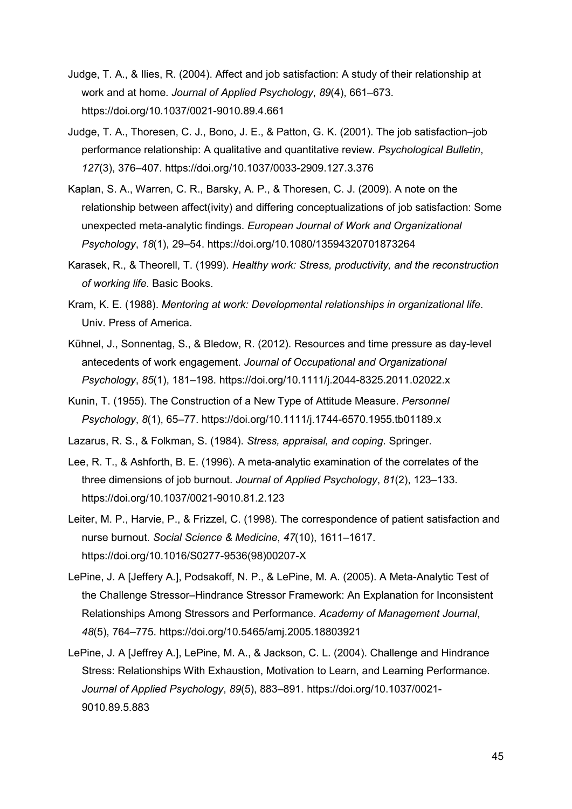- Judge, T. A., & Ilies, R. (2004). Affect and job satisfaction: A study of their relationship at work and at home. *Journal of Applied Psychology*, *89*(4), 661–673. https://doi.org/10.1037/0021-9010.89.4.661
- Judge, T. A., Thoresen, C. J., Bono, J. E., & Patton, G. K. (2001). The job satisfaction–job performance relationship: A qualitative and quantitative review. *Psychological Bulletin*, *127*(3), 376–407. https://doi.org/10.1037/0033-2909.127.3.376
- Kaplan, S. A., Warren, C. R., Barsky, A. P., & Thoresen, C. J. (2009). A note on the relationship between affect(ivity) and differing conceptualizations of job satisfaction: Some unexpected meta-analytic findings. *European Journal of Work and Organizational Psychology*, *18*(1), 29–54. https://doi.org/10.1080/13594320701873264
- Karasek, R., & Theorell, T. (1999). *Healthy work: Stress, productivity, and the reconstruction of working life*. Basic Books.
- Kram, K. E. (1988). *Mentoring at work: Developmental relationships in organizational life*. Univ. Press of America.
- Kühnel, J., Sonnentag, S., & Bledow, R. (2012). Resources and time pressure as day-level antecedents of work engagement. *Journal of Occupational and Organizational Psychology*, *85*(1), 181–198. https://doi.org/10.1111/j.2044-8325.2011.02022.x
- Kunin, T. (1955). The Construction of a New Type of Attitude Measure. *Personnel Psychology*, *8*(1), 65–77. https://doi.org/10.1111/j.1744-6570.1955.tb01189.x

Lazarus, R. S., & Folkman, S. (1984). *Stress, appraisal, and coping*. Springer.

- Lee, R. T., & Ashforth, B. E. (1996). A meta-analytic examination of the correlates of the three dimensions of job burnout. *Journal of Applied Psychology*, *81*(2), 123–133. https://doi.org/10.1037/0021-9010.81.2.123
- Leiter, M. P., Harvie, P., & Frizzel, C. (1998). The correspondence of patient satisfaction and nurse burnout. *Social Science & Medicine*, *47*(10), 1611–1617. https://doi.org/10.1016/S0277-9536(98)00207-X
- LePine, J. A [Jeffery A.], Podsakoff, N. P., & LePine, M. A. (2005). A Meta-Analytic Test of the Challenge Stressor–Hindrance Stressor Framework: An Explanation for Inconsistent Relationships Among Stressors and Performance. *Academy of Management Journal*, *48*(5), 764–775. https://doi.org/10.5465/amj.2005.18803921
- LePine, J. A [Jeffrey A.], LePine, M. A., & Jackson, C. L. (2004). Challenge and Hindrance Stress: Relationships With Exhaustion, Motivation to Learn, and Learning Performance. *Journal of Applied Psychology*, *89*(5), 883–891. https://doi.org/10.1037/0021- 9010.89.5.883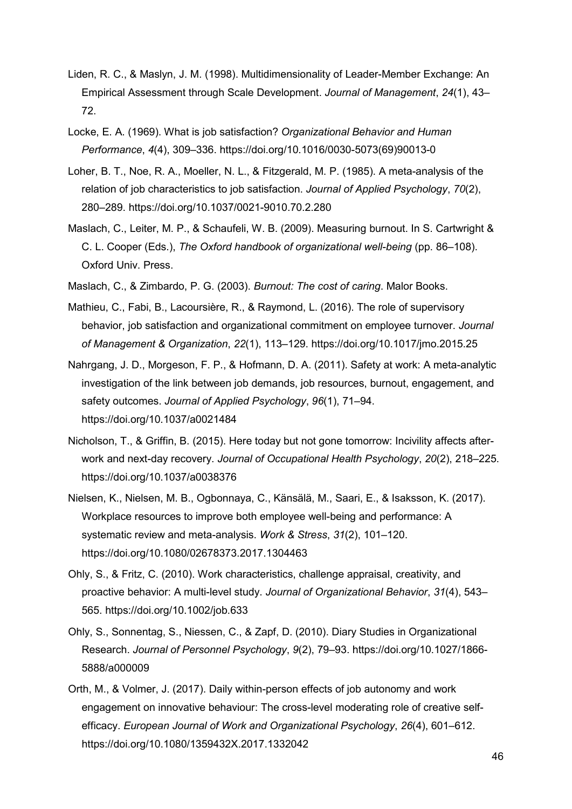- Liden, R. C., & Maslyn, J. M. (1998). Multidimensionality of Leader-Member Exchange: An Empirical Assessment through Scale Development. *Journal of Management*, *24*(1), 43– 72.
- Locke, E. A. (1969). What is job satisfaction? *Organizational Behavior and Human Performance*, *4*(4), 309–336. https://doi.org/10.1016/0030-5073(69)90013-0
- Loher, B. T., Noe, R. A., Moeller, N. L., & Fitzgerald, M. P. (1985). A meta-analysis of the relation of job characteristics to job satisfaction. *Journal of Applied Psychology*, *70*(2), 280–289. https://doi.org/10.1037/0021-9010.70.2.280
- Maslach, C., Leiter, M. P., & Schaufeli, W. B. (2009). Measuring burnout. In S. Cartwright & C. L. Cooper (Eds.), *The Oxford handbook of organizational well-being* (pp. 86–108). Oxford Univ. Press.
- Maslach, C., & Zimbardo, P. G. (2003). *Burnout: The cost of caring*. Malor Books.
- Mathieu, C., Fabi, B., Lacoursière, R., & Raymond, L. (2016). The role of supervisory behavior, job satisfaction and organizational commitment on employee turnover. *Journal of Management & Organization*, *22*(1), 113–129. https://doi.org/10.1017/jmo.2015.25
- Nahrgang, J. D., Morgeson, F. P., & Hofmann, D. A. (2011). Safety at work: A meta-analytic investigation of the link between job demands, job resources, burnout, engagement, and safety outcomes. *Journal of Applied Psychology*, *96*(1), 71–94. https://doi.org/10.1037/a0021484
- Nicholson, T., & Griffin, B. (2015). Here today but not gone tomorrow: Incivility affects afterwork and next-day recovery. *Journal of Occupational Health Psychology*, *20*(2), 218–225. https://doi.org/10.1037/a0038376
- Nielsen, K., Nielsen, M. B., Ogbonnaya, C., Känsälä, M., Saari, E., & Isaksson, K. (2017). Workplace resources to improve both employee well-being and performance: A systematic review and meta-analysis. *Work & Stress*, *31*(2), 101–120. https://doi.org/10.1080/02678373.2017.1304463
- Ohly, S., & Fritz, C. (2010). Work characteristics, challenge appraisal, creativity, and proactive behavior: A multi-level study. *Journal of Organizational Behavior*, *31*(4), 543– 565. https://doi.org/10.1002/job.633
- Ohly, S., Sonnentag, S., Niessen, C., & Zapf, D. (2010). Diary Studies in Organizational Research. *Journal of Personnel Psychology*, *9*(2), 79–93. https://doi.org/10.1027/1866- 5888/a000009
- Orth, M., & Volmer, J. (2017). Daily within-person effects of job autonomy and work engagement on innovative behaviour: The cross-level moderating role of creative selfefficacy. *European Journal of Work and Organizational Psychology*, *26*(4), 601–612. https://doi.org/10.1080/1359432X.2017.1332042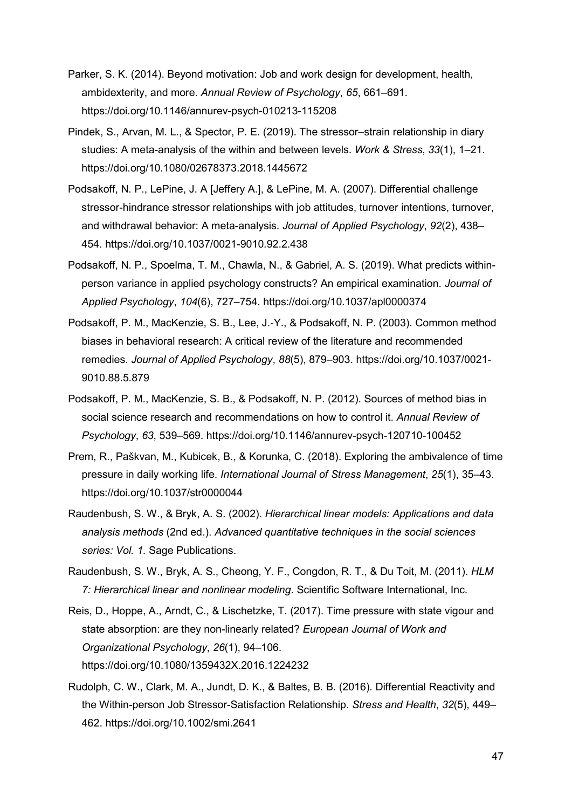- Parker, S. K. (2014). Beyond motivation: Job and work design for development, health, ambidexterity, and more. *Annual Review of Psychology*, *65*, 661–691. https://doi.org/10.1146/annurev-psych-010213-115208
- Pindek, S., Arvan, M. L., & Spector, P. E. (2019). The stressor–strain relationship in diary studies: A meta-analysis of the within and between levels. *Work & Stress*, *33*(1), 1–21. https://doi.org/10.1080/02678373.2018.1445672
- Podsakoff, N. P., LePine, J. A [Jeffery A.], & LePine, M. A. (2007). Differential challenge stressor-hindrance stressor relationships with job attitudes, turnover intentions, turnover, and withdrawal behavior: A meta-analysis. *Journal of Applied Psychology*, *92*(2), 438– 454. https://doi.org/10.1037/0021-9010.92.2.438
- Podsakoff, N. P., Spoelma, T. M., Chawla, N., & Gabriel, A. S. (2019). What predicts withinperson variance in applied psychology constructs? An empirical examination. *Journal of Applied Psychology*, *104*(6), 727–754. https://doi.org/10.1037/apl0000374
- Podsakoff, P. M., MacKenzie, S. B., Lee, J.‑Y., & Podsakoff, N. P. (2003). Common method biases in behavioral research: A critical review of the literature and recommended remedies. *Journal of Applied Psychology*, *88*(5), 879–903. https://doi.org/10.1037/0021- 9010.88.5.879
- Podsakoff, P. M., MacKenzie, S. B., & Podsakoff, N. P. (2012). Sources of method bias in social science research and recommendations on how to control it. *Annual Review of Psychology*, *63*, 539–569. https://doi.org/10.1146/annurev-psych-120710-100452
- Prem, R., Paškvan, M., Kubicek, B., & Korunka, C. (2018). Exploring the ambivalence of time pressure in daily working life. *International Journal of Stress Management*, *25*(1), 35–43. https://doi.org/10.1037/str0000044
- Raudenbush, S. W., & Bryk, A. S. (2002). *Hierarchical linear models: Applications and data analysis methods* (2nd ed.). *Advanced quantitative techniques in the social sciences series: Vol. 1*. Sage Publications.
- Raudenbush, S. W., Bryk, A. S., Cheong, Y. F., Congdon, R. T., & Du Toit, M. (2011). *HLM 7: Hierarchical linear and nonlinear modeling*. Scientific Software International, Inc.
- Reis, D., Hoppe, A., Arndt, C., & Lischetzke, T. (2017). Time pressure with state vigour and state absorption: are they non-linearly related? *European Journal of Work and Organizational Psychology*, *26*(1), 94–106. https://doi.org/10.1080/1359432X.2016.1224232
- Rudolph, C. W., Clark, M. A., Jundt, D. K., & Baltes, B. B. (2016). Differential Reactivity and the Within-person Job Stressor-Satisfaction Relationship. *Stress and Health*, *32*(5), 449– 462. https://doi.org/10.1002/smi.2641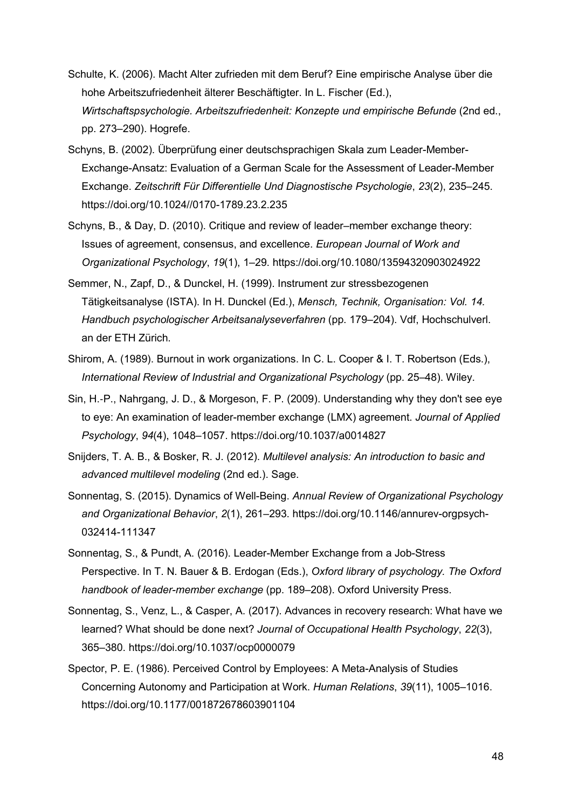- Schulte, K. (2006). Macht Alter zufrieden mit dem Beruf? Eine empirische Analyse über die hohe Arbeitszufriedenheit älterer Beschäftigter. In L. Fischer (Ed.), *Wirtschaftspsychologie. Arbeitszufriedenheit: Konzepte und empirische Befunde* (2nd ed., pp. 273–290). Hogrefe.
- Schyns, B. (2002). Überprüfung einer deutschsprachigen Skala zum Leader-Member-Exchange-Ansatz: Evaluation of a German Scale for the Assessment of Leader-Member Exchange. *Zeitschrift Für Differentielle Und Diagnostische Psychologie*, *23*(2), 235–245. https://doi.org/10.1024//0170-1789.23.2.235
- Schyns, B., & Day, D. (2010). Critique and review of leader–member exchange theory: Issues of agreement, consensus, and excellence. *European Journal of Work and Organizational Psychology*, *19*(1), 1–29. https://doi.org/10.1080/13594320903024922
- Semmer, N., Zapf, D., & Dunckel, H. (1999). Instrument zur stressbezogenen Tätigkeitsanalyse (ISTA). In H. Dunckel (Ed.), *Mensch, Technik, Organisation: Vol. 14. Handbuch psychologischer Arbeitsanalyseverfahren* (pp. 179–204). Vdf, Hochschulverl. an der ETH Zürich.
- Shirom, A. (1989). Burnout in work organizations. In C. L. Cooper & I. T. Robertson (Eds.), *International Review of Industrial and Organizational Psychology* (pp. 25–48). Wiley.
- Sin, H.‑P., Nahrgang, J. D., & Morgeson, F. P. (2009). Understanding why they don't see eye to eye: An examination of leader-member exchange (LMX) agreement. *Journal of Applied Psychology*, *94*(4), 1048–1057. https://doi.org/10.1037/a0014827
- Snijders, T. A. B., & Bosker, R. J. (2012). *Multilevel analysis: An introduction to basic and advanced multilevel modeling* (2nd ed.). Sage.
- Sonnentag, S. (2015). Dynamics of Well-Being. *Annual Review of Organizational Psychology and Organizational Behavior*, *2*(1), 261–293. https://doi.org/10.1146/annurev-orgpsych-032414-111347
- Sonnentag, S., & Pundt, A. (2016). Leader-Member Exchange from a Job-Stress Perspective. In T. N. Bauer & B. Erdogan (Eds.), *Oxford library of psychology. The Oxford handbook of leader-member exchange* (pp. 189–208). Oxford University Press.
- Sonnentag, S., Venz, L., & Casper, A. (2017). Advances in recovery research: What have we learned? What should be done next? *Journal of Occupational Health Psychology*, *22*(3), 365–380. https://doi.org/10.1037/ocp0000079
- Spector, P. E. (1986). Perceived Control by Employees: A Meta-Analysis of Studies Concerning Autonomy and Participation at Work. *Human Relations*, *39*(11), 1005–1016. https://doi.org/10.1177/001872678603901104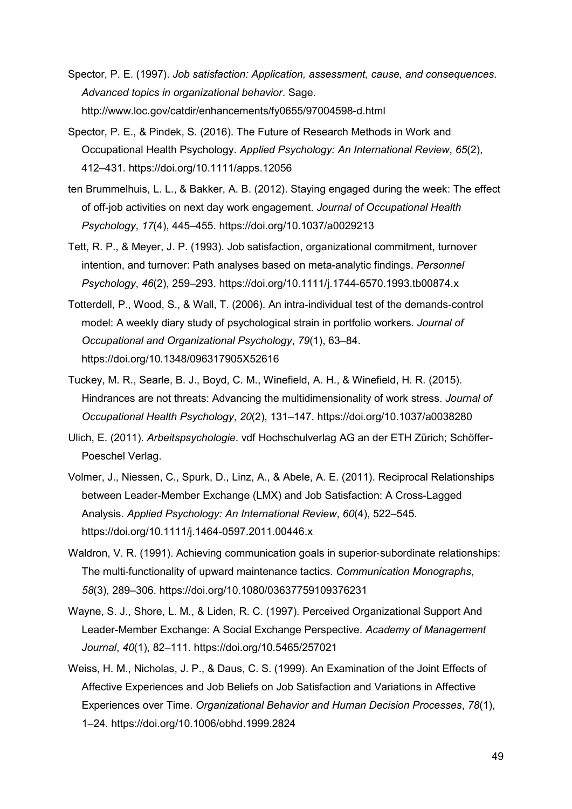- Spector, P. E. (1997). *Job satisfaction: Application, assessment, cause, and consequences*. *Advanced topics in organizational behavior*. Sage. http://www.loc.gov/catdir/enhancements/fy0655/97004598-d.html
- Spector, P. E., & Pindek, S. (2016). The Future of Research Methods in Work and Occupational Health Psychology. *Applied Psychology: An International Review*, *65*(2), 412–431. https://doi.org/10.1111/apps.12056
- ten Brummelhuis, L. L., & Bakker, A. B. (2012). Staying engaged during the week: The effect of off-job activities on next day work engagement. *Journal of Occupational Health Psychology*, *17*(4), 445–455. https://doi.org/10.1037/a0029213
- Tett, R. P., & Meyer, J. P. (1993). Job satisfaction, organizational commitment, turnover intention, and turnover: Path analyses based on meta-analytic findings. *Personnel Psychology*, *46*(2), 259–293. https://doi.org/10.1111/j.1744-6570.1993.tb00874.x
- Totterdell, P., Wood, S., & Wall, T. (2006). An intra-individual test of the demands-control model: A weekly diary study of psychological strain in portfolio workers. *Journal of Occupational and Organizational Psychology*, *79*(1), 63–84. https://doi.org/10.1348/096317905X52616
- Tuckey, M. R., Searle, B. J., Boyd, C. M., Winefield, A. H., & Winefield, H. R. (2015). Hindrances are not threats: Advancing the multidimensionality of work stress. *Journal of Occupational Health Psychology*, *20*(2), 131–147. https://doi.org/10.1037/a0038280
- Ulich, E. (2011). *Arbeitspsychologie*. vdf Hochschulverlag AG an der ETH Zürich; Schöffer-Poeschel Verlag.
- Volmer, J., Niessen, C., Spurk, D., Linz, A., & Abele, A. E. (2011). Reciprocal Relationships between Leader-Member Exchange (LMX) and Job Satisfaction: A Cross-Lagged Analysis. *Applied Psychology: An International Review*, *60*(4), 522–545. https://doi.org/10.1111/j.1464-0597.2011.00446.x
- Waldron, V. R. (1991). Achieving communication goals in superior-subordinate relationships: The multi‑functionality of upward maintenance tactics. *Communication Monographs*, *58*(3), 289–306. https://doi.org/10.1080/03637759109376231
- Wayne, S. J., Shore, L. M., & Liden, R. C. (1997). Perceived Organizational Support And Leader-Member Exchange: A Social Exchange Perspective. *Academy of Management Journal*, *40*(1), 82–111. https://doi.org/10.5465/257021
- Weiss, H. M., Nicholas, J. P., & Daus, C. S. (1999). An Examination of the Joint Effects of Affective Experiences and Job Beliefs on Job Satisfaction and Variations in Affective Experiences over Time. *Organizational Behavior and Human Decision Processes*, *78*(1), 1–24. https://doi.org/10.1006/obhd.1999.2824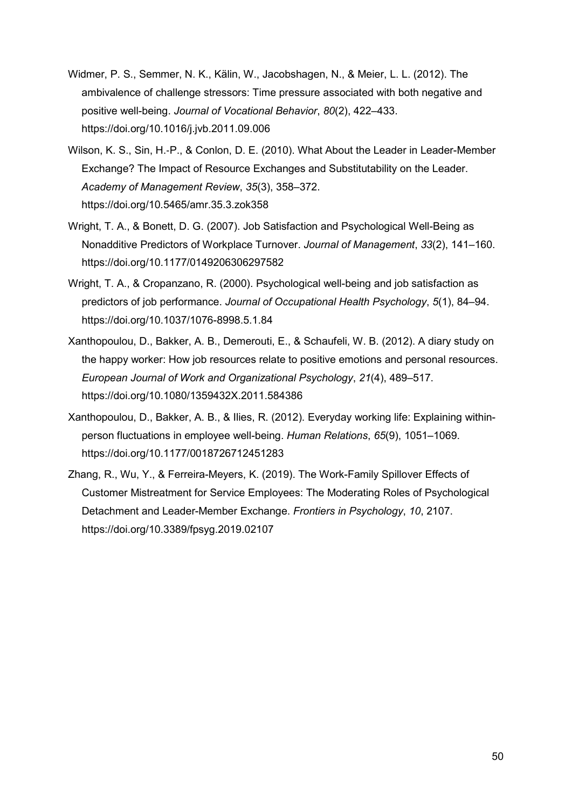- Widmer, P. S., Semmer, N. K., Kälin, W., Jacobshagen, N., & Meier, L. L. (2012). The ambivalence of challenge stressors: Time pressure associated with both negative and positive well-being. *Journal of Vocational Behavior*, *80*(2), 422–433. https://doi.org/10.1016/j.jvb.2011.09.006
- Wilson, K. S., Sin, H.‑P., & Conlon, D. E. (2010). What About the Leader in Leader-Member Exchange? The Impact of Resource Exchanges and Substitutability on the Leader. *Academy of Management Review*, *35*(3), 358–372. https://doi.org/10.5465/amr.35.3.zok358
- Wright, T. A., & Bonett, D. G. (2007). Job Satisfaction and Psychological Well-Being as Nonadditive Predictors of Workplace Turnover. *Journal of Management*, *33*(2), 141–160. https://doi.org/10.1177/0149206306297582
- Wright, T. A., & Cropanzano, R. (2000). Psychological well-being and job satisfaction as predictors of job performance. *Journal of Occupational Health Psychology*, *5*(1), 84–94. https://doi.org/10.1037/1076-8998.5.1.84
- Xanthopoulou, D., Bakker, A. B., Demerouti, E., & Schaufeli, W. B. (2012). A diary study on the happy worker: How job resources relate to positive emotions and personal resources. *European Journal of Work and Organizational Psychology*, *21*(4), 489–517. https://doi.org/10.1080/1359432X.2011.584386
- Xanthopoulou, D., Bakker, A. B., & Ilies, R. (2012). Everyday working life: Explaining withinperson fluctuations in employee well-being. *Human Relations*, *65*(9), 1051–1069. https://doi.org/10.1177/0018726712451283
- Zhang, R., Wu, Y., & Ferreira-Meyers, K. (2019). The Work-Family Spillover Effects of Customer Mistreatment for Service Employees: The Moderating Roles of Psychological Detachment and Leader-Member Exchange. *Frontiers in Psychology*, *10*, 2107. https://doi.org/10.3389/fpsyg.2019.02107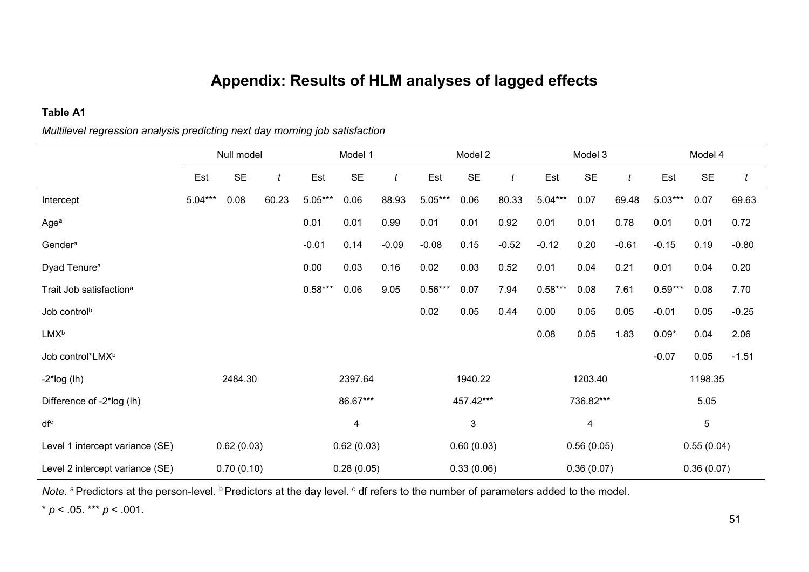# **Appendix: Results of HLM analyses of lagged effects**

### **Table A1**

|                                     | Null model |            |       | Model 1    |                         |                  | Model 2   |              |         | Model 3   |                |         | Model 4   |            |         |
|-------------------------------------|------------|------------|-------|------------|-------------------------|------------------|-----------|--------------|---------|-----------|----------------|---------|-----------|------------|---------|
|                                     | Est        | <b>SE</b>  | t     | Est        | <b>SE</b>               | $\boldsymbol{t}$ | Est       | <b>SE</b>    | t       | Est       | <b>SE</b>      | t       | Est       | <b>SE</b>  | t       |
| Intercept                           | $5.04***$  | 0.08       | 60.23 | $5.05***$  | 0.06                    | 88.93            | $5.05***$ | 0.06         | 80.33   | $5.04***$ | 0.07           | 69.48   | $5.03***$ | 0.07       | 69.63   |
| Agea                                |            |            |       | 0.01       | 0.01                    | 0.99             | 0.01      | 0.01         | 0.92    | 0.01      | 0.01           | 0.78    | 0.01      | 0.01       | 0.72    |
| Gender <sup>a</sup>                 |            |            |       | $-0.01$    | 0.14                    | $-0.09$          | $-0.08$   | 0.15         | $-0.52$ | $-0.12$   | 0.20           | $-0.61$ | $-0.15$   | 0.19       | $-0.80$ |
| Dyad Tenure <sup>a</sup>            |            |            |       | 0.00       | 0.03                    | 0.16             | 0.02      | 0.03         | 0.52    | 0.01      | 0.04           | 0.21    | 0.01      | 0.04       | 0.20    |
| Trait Job satisfaction <sup>a</sup> |            |            |       | $0.58***$  | 0.06                    | 9.05             | $0.56***$ | 0.07         | 7.94    | $0.58***$ | 0.08           | 7.61    | $0.59***$ | 0.08       | 7.70    |
| Job control <sup>b</sup>            |            |            |       |            |                         |                  | 0.02      | 0.05         | 0.44    | 0.00      | 0.05           | 0.05    | $-0.01$   | 0.05       | $-0.25$ |
| <b>LMXb</b>                         |            |            |       |            |                         |                  |           |              |         | 0.08      | 0.05           | 1.83    | $0.09*$   | 0.04       | 2.06    |
| Job control*LMX <sup>b</sup>        |            |            |       |            |                         |                  |           |              |         |           |                |         | $-0.07$   | 0.05       | $-1.51$ |
| $-2$ *log (lh)                      |            | 2484.30    |       |            | 2397.64                 |                  |           | 1940.22      |         |           | 1203.40        |         |           | 1198.35    |         |
| Difference of -2*log (lh)           |            |            |       |            | 86.67***                |                  |           | 457.42***    |         |           | 736.82***      |         |           | 5.05       |         |
| dfc                                 |            |            |       |            | $\overline{\mathbf{4}}$ |                  |           | $\mathbf{3}$ |         |           | $\overline{4}$ |         |           | 5          |         |
| Level 1 intercept variance (SE)     |            | 0.62(0.03) |       | 0.62(0.03) |                         |                  |           | 0.60(0.03)   |         |           | 0.56(0.05)     |         |           | 0.55(0.04) |         |
| Level 2 intercept variance (SE)     |            | 0.70(0.10) |       |            | 0.28(0.05)              |                  |           | 0.33(0.06)   |         |           | 0.36(0.07)     |         |           | 0.36(0.07) |         |

*Multilevel regression analysis predicting next day morning job satisfaction*

*Note.* a Predictors at the person-level. **b** Predictors at the day level. c df refers to the number of parameters added to the model.

 $* p < .05$ . \*\*\*  $p < .001$ .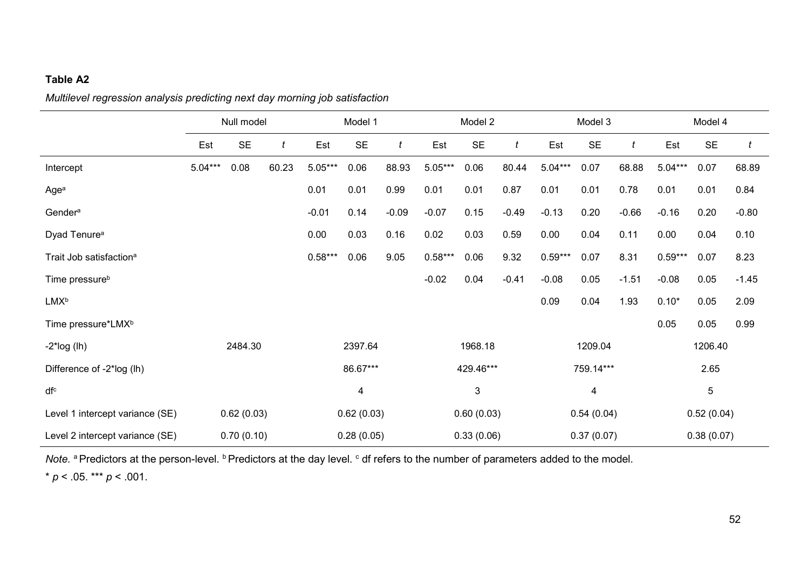### **Table A2**

### *Multilevel regression analysis predicting next day morning job satisfaction*

|                                     | Null model |            |       | Model 1    |            |         | Model 2   |            |         | Model 3   |            |         | Model 4   |            |         |
|-------------------------------------|------------|------------|-------|------------|------------|---------|-----------|------------|---------|-----------|------------|---------|-----------|------------|---------|
|                                     | Est        | <b>SE</b>  | t     | Est        | <b>SE</b>  | t       | Est       | <b>SE</b>  | t       | Est       | <b>SE</b>  | t       | Est       | <b>SE</b>  | t       |
| Intercept                           | $5.04***$  | 0.08       | 60.23 | $5.05***$  | 0.06       | 88.93   | $5.05***$ | 0.06       | 80.44   | $5.04***$ | 0.07       | 68.88   | $5.04***$ | 0.07       | 68.89   |
| Agea                                |            |            |       | 0.01       | 0.01       | 0.99    | 0.01      | 0.01       | 0.87    | 0.01      | 0.01       | 0.78    | 0.01      | 0.01       | 0.84    |
| Gender <sup>a</sup>                 |            |            |       | $-0.01$    | 0.14       | $-0.09$ | $-0.07$   | 0.15       | $-0.49$ | $-0.13$   | 0.20       | $-0.66$ | $-0.16$   | 0.20       | $-0.80$ |
| Dyad Tenure <sup>a</sup>            |            |            |       | 0.00       | 0.03       | 0.16    | 0.02      | 0.03       | 0.59    | 0.00      | 0.04       | 0.11    | 0.00      | 0.04       | 0.10    |
| Trait Job satisfaction <sup>a</sup> |            |            |       | $0.58***$  | 0.06       | 9.05    | $0.58***$ | 0.06       | 9.32    | $0.59***$ | 0.07       | 8.31    | $0.59***$ | 0.07       | 8.23    |
| Time pressure <sup>b</sup>          |            |            |       |            |            |         | $-0.02$   | 0.04       | $-0.41$ | $-0.08$   | 0.05       | $-1.51$ | $-0.08$   | 0.05       | $-1.45$ |
| <b>LMXb</b>                         |            |            |       |            |            |         |           |            |         | 0.09      | 0.04       | 1.93    | $0.10*$   | 0.05       | 2.09    |
| Time pressure*LMX <sup>b</sup>      |            |            |       |            |            |         |           |            |         |           |            |         | 0.05      | 0.05       | 0.99    |
| $-2$ *log (lh)                      |            | 2484.30    |       |            | 2397.64    |         |           | 1968.18    |         |           | 1209.04    |         |           | 1206.40    |         |
| Difference of -2*log (lh)           |            |            |       |            | 86.67***   |         |           | 429.46***  |         |           | 759.14***  |         |           | 2.65       |         |
| dfc                                 |            |            |       | 4          |            |         |           | 3          |         |           | 4          |         |           | 5          |         |
| Level 1 intercept variance (SE)     |            | 0.62(0.03) |       | 0.62(0.03) |            |         |           | 0.60(0.03) |         |           | 0.54(0.04) |         |           | 0.52(0.04) |         |
| Level 2 intercept variance (SE)     |            | 0.70(0.10) |       |            | 0.28(0.05) |         |           | 0.33(0.06) |         |           | 0.37(0.07) |         |           | 0.38(0.07) |         |

*Note.* <sup>a</sup> Predictors at the person-level. <sup>b</sup> Predictors at the day level. <sup>c</sup> df refers to the number of parameters added to the model.

 $* p < .05.$  \*\*\*  $p < .001.$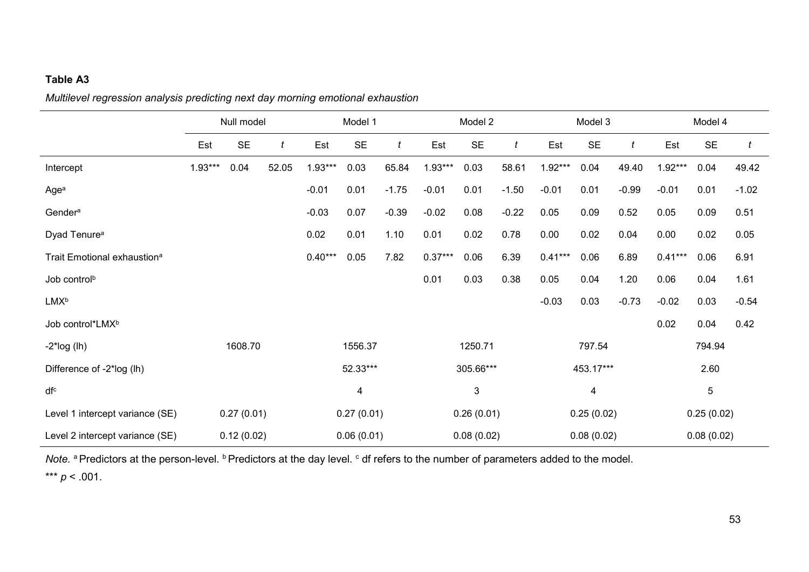### **Table A3**

*Multilevel regression analysis predicting next day morning emotional exhaustion*

|                                         | Null model |            |       | Model 1    |            |         | Model 2   |              |         | Model 3   |            |         | Model 4   |            |         |
|-----------------------------------------|------------|------------|-------|------------|------------|---------|-----------|--------------|---------|-----------|------------|---------|-----------|------------|---------|
|                                         | Est        | <b>SE</b>  | t     | Est        | <b>SE</b>  | t       | Est       | <b>SE</b>    | t       | Est       | <b>SE</b>  | t       | Est       | <b>SE</b>  |         |
| Intercept                               | $1.93***$  | 0.04       | 52.05 | $1.93***$  | 0.03       | 65.84   | $1.93***$ | 0.03         | 58.61   | $1.92***$ | 0.04       | 49.40   | $1.92***$ | 0.04       | 49.42   |
| Agea                                    |            |            |       | $-0.01$    | 0.01       | $-1.75$ | $-0.01$   | 0.01         | $-1.50$ | $-0.01$   | 0.01       | $-0.99$ | $-0.01$   | 0.01       | $-1.02$ |
| Gender <sup>a</sup>                     |            |            |       | $-0.03$    | 0.07       | $-0.39$ | $-0.02$   | 0.08         | $-0.22$ | 0.05      | 0.09       | 0.52    | 0.05      | 0.09       | 0.51    |
| Dyad Tenure <sup>a</sup>                |            |            |       | 0.02       | 0.01       | 1.10    | 0.01      | 0.02         | 0.78    | 0.00      | 0.02       | 0.04    | 0.00      | 0.02       | 0.05    |
| Trait Emotional exhaustion <sup>a</sup> |            |            |       | $0.40***$  | 0.05       | 7.82    | $0.37***$ | 0.06         | 6.39    | $0.41***$ | 0.06       | 6.89    | $0.41***$ | 0.06       | 6.91    |
| Job control <sup>b</sup>                |            |            |       |            |            |         | 0.01      | 0.03         | 0.38    | 0.05      | 0.04       | 1.20    | 0.06      | 0.04       | 1.61    |
| <b>LMX</b> <sup>b</sup>                 |            |            |       |            |            |         |           |              |         | $-0.03$   | 0.03       | $-0.73$ | $-0.02$   | 0.03       | $-0.54$ |
| Job control*LMX <sup>b</sup>            |            |            |       |            |            |         |           |              |         |           |            |         | 0.02      | 0.04       | 0.42    |
| $-2$ *log (lh)                          |            | 1608.70    |       |            | 1556.37    |         |           | 1250.71      |         |           | 797.54     |         |           | 794.94     |         |
| Difference of -2*log (lh)               |            |            |       |            | 52.33***   |         |           | 305.66***    |         |           | 453.17***  |         |           | 2.60       |         |
| dfc                                     |            |            |       | 4          |            |         |           | $\mathbf{3}$ |         |           | 4          |         |           | 5          |         |
| Level 1 intercept variance (SE)         |            | 0.27(0.01) |       | 0.27(0.01) |            |         |           | 0.26(0.01)   |         |           | 0.25(0.02) |         |           | 0.25(0.02) |         |
| Level 2 intercept variance (SE)         |            | 0.12(0.02) |       |            | 0.06(0.01) |         |           | 0.08(0.02)   |         |           | 0.08(0.02) |         |           | 0.08(0.02) |         |

*Note.* <sup>a</sup> Predictors at the person-level. <sup>b</sup> Predictors at the day level. <sup>c</sup> df refers to the number of parameters added to the model.

\*\*\*  $p < .001$ .